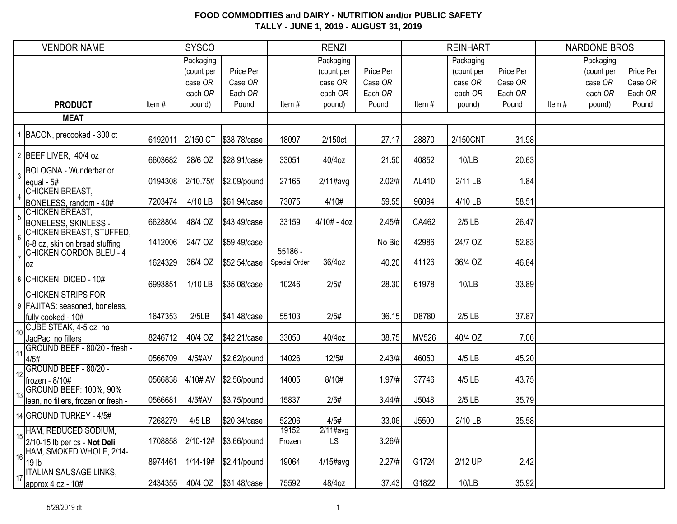|                | <b>VENDOR NAME</b>                                         |         | <b>SYSCO</b>                                            |                                          |                            | <b>RENZI</b>                                            |                                          |       | <b>REINHART</b>                                         |                                          |       | <b>NARDONE BROS</b>                                     |                                          |
|----------------|------------------------------------------------------------|---------|---------------------------------------------------------|------------------------------------------|----------------------------|---------------------------------------------------------|------------------------------------------|-------|---------------------------------------------------------|------------------------------------------|-------|---------------------------------------------------------|------------------------------------------|
|                | <b>PRODUCT</b>                                             | Item#   | Packaging<br>(count per<br>case OR<br>each OR<br>pound) | Price Per<br>Case OR<br>Each OR<br>Pound | Item#                      | Packaging<br>(count per<br>case OR<br>each OR<br>pound) | Price Per<br>Case OR<br>Each OR<br>Pound | Item# | Packaging<br>(count per<br>case OR<br>each OR<br>pound) | Price Per<br>Case OR<br>Each OR<br>Pound | Item# | Packaging<br>(count per<br>case OR<br>each OR<br>pound) | Price Per<br>Case OR<br>Each OR<br>Pound |
|                | <b>MEAT</b>                                                |         |                                                         |                                          |                            |                                                         |                                          |       |                                                         |                                          |       |                                                         |                                          |
|                |                                                            |         |                                                         |                                          |                            |                                                         |                                          |       |                                                         |                                          |       |                                                         |                                          |
|                | 1 BACON, precooked - 300 ct                                | 6192011 | 2/150 CT                                                | \$38.78/case                             | 18097                      | 2/150ct                                                 | 27.17                                    | 28870 | 2/150CNT                                                | 31.98                                    |       |                                                         |                                          |
|                | 2 BEEF LIVER, 40/4 oz                                      | 6603682 | 28/6 OZ                                                 | \$28.91/case                             | 33051                      | 40/4oz                                                  | 21.50                                    | 40852 | 10/LB                                                   | 20.63                                    |       |                                                         |                                          |
| 3              | BOLOGNA - Wunderbar or<br>equal - 5#                       | 0194308 | 2/10.75#                                                | \$2.09/pound                             | 27165                      | $2/11$ #avg                                             | $2.02/\#$                                | AL410 | 2/11 LB                                                 | 1.84                                     |       |                                                         |                                          |
| $\overline{4}$ | CHICKEN BREAST,<br>BONELESS, random - 40#                  | 7203474 | 4/10 LB                                                 | \$61.94/case                             | 73075                      | 4/10#                                                   | 59.55                                    | 96094 | 4/10 LB                                                 | 58.51                                    |       |                                                         |                                          |
| 5              | CHICKEN BREAST,<br><b>BONELESS, SKINLESS -</b>             | 6628804 | 48/4 OZ                                                 | \$43.49/case                             | 33159                      | $4/10# - 4oz$                                           | 2.45/#                                   | CA462 | $2/5$ LB                                                | 26.47                                    |       |                                                         |                                          |
| 6              | CHICKEN BREAST, STUFFED,<br>6-8 oz, skin on bread stuffing | 1412006 | 24/7 OZ                                                 | \$59.49/case                             |                            |                                                         | No Bid                                   | 42986 | 24/7 OZ                                                 | 52.83                                    |       |                                                         |                                          |
|                | <b>CHICKEN CORDON BLEU - 4</b><br> oz                      | 1624329 | 36/4 OZ                                                 | \$52.54/case                             | $55186 -$<br>Special Order | 36/4oz                                                  | 40.20                                    | 41126 | 36/4 OZ                                                 | 46.84                                    |       |                                                         |                                          |
|                | 8 CHICKEN, DICED - 10#                                     | 6993851 | 1/10 LB                                                 | \$35.08/case                             | 10246                      | 2/5#                                                    | 28.30                                    | 61978 | 10/LB                                                   | 33.89                                    |       |                                                         |                                          |
|                | <b>CHICKEN STRIPS FOR</b>                                  |         |                                                         |                                          |                            |                                                         |                                          |       |                                                         |                                          |       |                                                         |                                          |
|                | 9   FAJITAS: seasoned, boneless,<br>fully cooked - 10#     | 1647353 | 2/5LB                                                   | \$41.48/case                             | 55103                      | 2/5#                                                    | 36.15                                    | D8780 | $2/5$ LB                                                | 37.87                                    |       |                                                         |                                          |
| 10             | CUBE STEAK, 4-5 oz no<br>JacPac, no fillers                | 8246712 | 40/4 OZ                                                 | \$42.21/case                             | 33050                      | 40/4oz                                                  | 38.75                                    | MV526 | 40/4 OZ                                                 | 7.06                                     |       |                                                         |                                          |
| 11             | GROUND BEEF - 80/20 - fresh -<br>4/5#                      | 0566709 | 4/5#AV                                                  | \$2.62/pound                             | 14026                      | 12/5#                                                   | $2.43/\#$                                | 46050 | 4/5 LB                                                  | 45.20                                    |       |                                                         |                                          |
| 12             | GROUND BEEF - 80/20 -<br>frozen - 8/10#                    | 0566838 | 4/10# AV                                                | \$2.56/pound                             | 14005                      | 8/10#                                                   | 1.97 / #                                 | 37746 | 4/5 LB                                                  | 43.75                                    |       |                                                         |                                          |
| 13             | <b>GROUND BEEF: 100%, 90%</b>                              |         |                                                         |                                          |                            |                                                         |                                          |       |                                                         |                                          |       |                                                         |                                          |
|                | lean, no fillers, frozen or fresh -                        | 0566681 | 4/5#AV                                                  | \$3.75/pound                             | 15837                      | 2/5#                                                    | 3.44/#                                   | J5048 | $2/5$ LB                                                | 35.79                                    |       |                                                         |                                          |
|                | 14 GROUND TURKEY - 4/5#                                    | 7268279 | 4/5 LB                                                  | \$20.34/case                             | 52206                      | 4/5#                                                    | 33.06                                    | J5500 | 2/10 LB                                                 | 35.58                                    |       |                                                         |                                          |
| 15             | HAM, REDUCED SODIUM,<br>$2/10-15$ lb per cs - Not Deli     | 1708858 |                                                         | 2/10-12# \$3.66/pound                    | 19152<br>Frozen            | $2/11$ #avg<br><b>LS</b>                                | 3.26/H                                   |       |                                                         |                                          |       |                                                         |                                          |
| 16             | HAM, SMOKED WHOLE, 2/14-<br>19 <sub>lb</sub>               | 8974461 |                                                         | 1/14-19# \$2.41/pound                    | 19064                      | $4/15$ #avg                                             | 2.27/#                                   | G1724 | 2/12 UP                                                 | 2.42                                     |       |                                                         |                                          |
| 17             | <b>ITALIAN SAUSAGE LINKS,</b><br>approx 4 oz - $10#$       | 2434355 | 40/4 OZ                                                 | \$31.48/case                             | 75592                      | 48/4oz                                                  | 37.43                                    | G1822 | 10/LB                                                   | 35.92                                    |       |                                                         |                                          |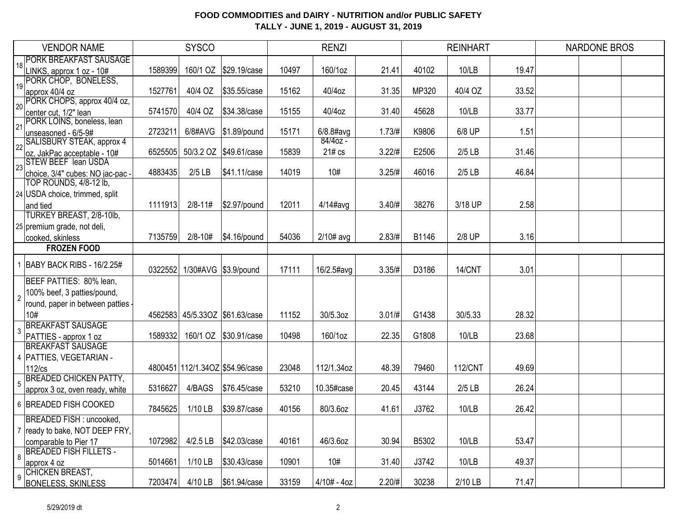|                 | <b>VENDOR NAME</b>                                        |         | <b>SYSCO</b> |                                 |       | <b>RENZI</b>  |           |       | <b>REINHART</b> |       | <b>NARDONE BROS</b> |  |
|-----------------|-----------------------------------------------------------|---------|--------------|---------------------------------|-------|---------------|-----------|-------|-----------------|-------|---------------------|--|
| 18              | <b>PORK BREAKFAST SAUSAGE</b>                             |         |              |                                 |       |               |           |       |                 |       |                     |  |
|                 | LINKS, approx 1 oz - 10#                                  | 1589399 | 160/1 OZ     | \$29.19/case                    | 10497 | 160/1oz       | 21.41     | 40102 | 10/LB           | 19.47 |                     |  |
| 19              | PORK CHOP, BONELESS,                                      |         |              |                                 |       |               |           |       |                 |       |                     |  |
|                 | approx 40/4 oz                                            | 1527761 | 40/4 OZ      | \$35.55/case                    | 15162 | 40/4oz        | 31.35     | MP320 | 40/4 OZ         | 33.52 |                     |  |
| 20 <sup>1</sup> | PORK CHOPS, approx 40/4 oz,                               |         |              |                                 |       |               |           | 45628 | 10/LB           | 33.77 |                     |  |
|                 | center cut, 1/2" lean<br>PORK LOINS, boneless, lean       | 5741570 | 40/4 OZ      | \$34.38/case                    | 15155 | 40/4oz        | 31.40     |       |                 |       |                     |  |
| 21              | unseasoned - 6/5-9#                                       | 2723211 | 6/8#AVG      | $$1.89$ /pound                  | 15171 | $6/8.8$ #avg  | 1.73/H    | K9806 | 6/8 UP          | 1.51  |                     |  |
|                 | SALISBURY STEAK, approx 4                                 |         |              |                                 |       | $84/40z -$    |           |       |                 |       |                     |  |
| $\overline{22}$ | oz, JakPac acceptable - 10#                               | 6525505 |              | 50/3.2 OZ \$49.61/case          | 15839 | 21# cs        | 3.22/#    | E2506 | $2/5$ LB        | 31.46 |                     |  |
|                 | $\frac{1}{23}$ STEW BEEF lean USDA                        |         |              |                                 |       |               |           |       |                 |       |                     |  |
|                 | choice, 3/4" cubes: NO jac-pac -                          | 4883435 | $2/5$ LB     | \$41.11/case                    | 14019 | 10#           | 3.25/#    | 46016 | $2/5$ LB        | 46.84 |                     |  |
|                 | TOP ROUNDS, 4/8-12 lb,                                    |         |              |                                 |       |               |           |       |                 |       |                     |  |
|                 | 24 USDA choice, trimmed, split                            |         |              |                                 |       |               |           |       |                 |       |                     |  |
|                 | and tied                                                  | 1111913 | $2/8 - 11#$  | \$2.97/pound                    | 12011 | $4/14$ #avg   | 3.40/#    | 38276 | 3/18 UP         | 2.58  |                     |  |
|                 | TURKEY BREAST, 2/8-10lb,                                  |         |              |                                 |       |               |           |       |                 |       |                     |  |
|                 | 25 premium grade, not deli,                               |         |              |                                 |       |               |           |       |                 |       |                     |  |
|                 | cooked, skinless                                          | 7135759 | 2/8-10#      | $\frac{1}{3}4.16$ /pound        | 54036 | $2/10#$ avg   | 2.83/H    | B1146 | 2/8 UP          | 3.16  |                     |  |
|                 | <b>FROZEN FOOD</b>                                        |         |              |                                 |       |               |           |       |                 |       |                     |  |
|                 | 1 BABY BACK RIBS - 16/2.25#                               | 0322552 |              | 1/30#AVG \$3.9/pound            | 17111 | 16/2.5#avg    | 3.35/#    | D3186 | 14/CNT          | 3.01  |                     |  |
|                 | BEEF PATTIES: 80% lean,                                   |         |              |                                 |       |               |           |       |                 |       |                     |  |
|                 |                                                           |         |              |                                 |       |               |           |       |                 |       |                     |  |
| $\overline{2}$  | 100% beef, 3 patties/pound,                               |         |              |                                 |       |               |           |       |                 |       |                     |  |
|                 | round, paper in between patties                           |         |              |                                 |       |               |           |       |                 |       |                     |  |
|                 | 10#<br><b>BREAKFAST SAUSAGE</b>                           |         |              | 4562583 45/5.33OZ \$61.63/case  | 11152 | 30/5.3oz      | $3.01/\#$ | G1438 | 30/5.33         | 28.32 |                     |  |
| 3               | PATTIES - approx 1 oz                                     | 1589332 |              | 160/1 OZ \$30.91/case           | 10498 | 160/1oz       | 22.35     | G1808 | 10/LB           | 23.68 |                     |  |
|                 | <b>BREAKFAST SAUSAGE</b>                                  |         |              |                                 |       |               |           |       |                 |       |                     |  |
|                 | 4   PATTIES, VEGETARIAN -                                 |         |              |                                 |       |               |           |       |                 |       |                     |  |
|                 | 112/cs                                                    |         |              | 4800451 112/1.34OZ \$54.96/case | 23048 | 112/1.34oz    | 48.39     | 79460 | <b>112/CNT</b>  | 49.69 |                     |  |
|                 | <b>BREADED CHICKEN PATTY,</b>                             |         |              |                                 |       |               |           |       |                 |       |                     |  |
| 5               | approx 3 oz, oven ready, white                            | 5316627 | 4/BAGS       | \$76.45/case                    | 53210 | 10.35#case    | 20.45     | 43144 | $2/5$ LB        | 26.24 |                     |  |
|                 | 6 BREADED FISH COOKED                                     |         |              |                                 |       |               |           |       |                 |       |                     |  |
|                 | BREADED FISH : uncooked,                                  | 7845625 | 1/10 LB      | \$39.87/case                    | 40156 | 80/3.6oz      | 41.61     | J3762 | 10/LB           | 26.42 |                     |  |
|                 |                                                           |         |              |                                 |       |               |           |       |                 |       |                     |  |
|                 | 7   ready to bake, NOT DEEP FRY,<br>comparable to Pier 17 | 1072982 | $4/2.5$ LB   | \$42.03/case                    | 40161 | 46/3.6oz      | 30.94     | B5302 | 10/LB           | 53.47 |                     |  |
|                 | <b>BREADED FISH FILLETS -</b>                             |         |              |                                 |       |               |           |       |                 |       |                     |  |
| 8               | approx 4 oz                                               | 5014661 | $1/10$ LB    | \$30.43/case                    | 10901 | 10#           | 31.40     | J3742 | 10/LB           | 49.37 |                     |  |
|                 | CHICKEN BREAST,                                           |         |              |                                 |       |               |           |       |                 |       |                     |  |
| 9               | <b>BONELESS, SKINLESS</b>                                 | 7203474 | 4/10 LB      | \$61.94/case                    | 33159 | $4/10# - 4oz$ | 2.20/#    | 30238 | 2/10 LB         | 71.47 |                     |  |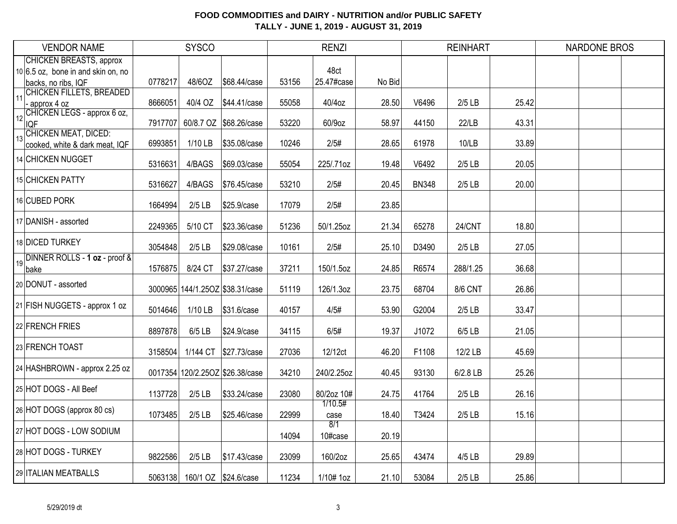|    | <b>VENDOR NAME</b>                                                                            |         | <b>SYSCO</b>         |                                 |       | <b>RENZI</b>       |        |              | <b>REINHART</b> |       | <b>NARDONE BROS</b> |  |
|----|-----------------------------------------------------------------------------------------------|---------|----------------------|---------------------------------|-------|--------------------|--------|--------------|-----------------|-------|---------------------|--|
|    | <b>CHICKEN BREASTS, approx</b><br>$10 6.5$ oz, bone in and skin on, no<br>backs, no ribs, IQF | 0778217 | 48/6OZ               | \$68.44/case                    | 53156 | 48ct<br>25.47#case | No Bid |              |                 |       |                     |  |
| 11 | CHICKEN FILLETS, BREADED<br>- approx 4 oz                                                     | 8666051 | 40/4 OZ              | \$44.41/case                    | 55058 | 40/4oz             | 28.50  | V6496        | $2/5$ LB        | 25.42 |                     |  |
| 12 | CHICKEN LEGS - approx 6 oz,<br><b>IQF</b>                                                     | 7917707 |                      | 60/8.7 OZ \$68.26/case          | 53220 | 60/9oz             | 58.97  | 44150        | 22/LB           | 43.31 |                     |  |
| 13 | <b>CHICKEN MEAT, DICED:</b><br>cooked, white & dark meat, IQF                                 | 6993851 | 1/10 LB              | \$35.08/case                    | 10246 | 2/5#               | 28.65  | 61978        | 10/LB           | 33.89 |                     |  |
|    | 14 CHICKEN NUGGET                                                                             | 5316631 | 4/BAGS               | \$69.03/case                    | 55054 | 225/.71oz          | 19.48  | V6492        | $2/5$ LB        | 20.05 |                     |  |
|    | 15 CHICKEN PATTY                                                                              | 5316627 | 4/BAGS               | \$76.45/case                    | 53210 | 2/5#               | 20.45  | <b>BN348</b> | $2/5$ LB        | 20.00 |                     |  |
|    | 16 CUBED PORK                                                                                 | 1664994 | $2/5$ LB             | \$25.9/case                     | 17079 | 2/5#               | 23.85  |              |                 |       |                     |  |
|    | 17 DANISH - assorted                                                                          | 2249365 | 5/10 CT              | \$23.36/case                    | 51236 | 50/1.25oz          | 21.34  | 65278        | 24/CNT          | 18.80 |                     |  |
|    | 18 DICED TURKEY                                                                               | 3054848 | $2/5$ LB             | \$29.08/case                    | 10161 | 2/5#               | 25.10  | D3490        | $2/5$ LB        | 27.05 |                     |  |
| 19 | DINNER ROLLS - 1 oz - proof &<br>bake                                                         | 1576875 | 8/24 CT              | \$37.27/case                    | 37211 | 150/1.5oz          | 24.85  | R6574        | 288/1.25        | 36.68 |                     |  |
|    | 20 DONUT - assorted                                                                           |         |                      | 3000965 144/1.25OZ \$38.31/case | 51119 | 126/1.3oz          | 23.75  | 68704        | 8/6 CNT         | 26.86 |                     |  |
|    | 21 FISH NUGGETS - approx 1 oz                                                                 | 5014646 | 1/10 LB              | \$31.6/case                     | 40157 | 4/5#               | 53.90  | G2004        | $2/5$ LB        | 33.47 |                     |  |
|    | 22 FRENCH FRIES                                                                               | 8897878 | 6/5 LB               | \$24.9/case                     | 34115 | 6/5#               | 19.37  | J1072        | 6/5 LB          | 21.05 |                     |  |
|    | 23 FRENCH TOAST                                                                               | 3158504 | 1/144 CT             | \$27.73/case                    | 27036 | 12/12ct            | 46.20  | F1108        | 12/2 LB         | 45.69 |                     |  |
|    | 24 HASHBROWN - approx 2.25 oz                                                                 |         |                      | 0017354 120/2.25OZ \$26.38/case | 34210 | 240/2.25oz         | 40.45  | 93130        | 6/2.8 LB        | 25.26 |                     |  |
|    | 25 HOT DOGS - All Beef                                                                        | 1137728 | $2/5$ LB             | \$33.24/case                    | 23080 | 80/2oz 10#         | 24.75  | 41764        | $2/5$ LB        | 26.16 |                     |  |
|    | 26 HOT DOGS (approx 80 cs)                                                                    | 1073485 | $2/5$ LB             | \$25.46/case                    | 22999 | 1/10.5#<br>case    | 18.40  | T3424        | $2/5$ LB        | 15.16 |                     |  |
|    | 27 HOT DOGS - LOW SODIUM                                                                      |         |                      |                                 | 14094 | 8/1<br>10#case     | 20.19  |              |                 |       |                     |  |
|    | 28 HOT DOGS - TURKEY                                                                          | 9822586 | $2/5$ LB             | \$17.43/case                    | 23099 | 160/2oz            | 25.65  | 43474        | 4/5 LB          | 29.89 |                     |  |
|    | 29 ITALIAN MEATBALLS                                                                          | 5063138 | 160/1 OZ \$24.6/case |                                 | 11234 | 1/10# 1oz          | 21.10  | 53084        | $2/5$ LB        | 25.86 |                     |  |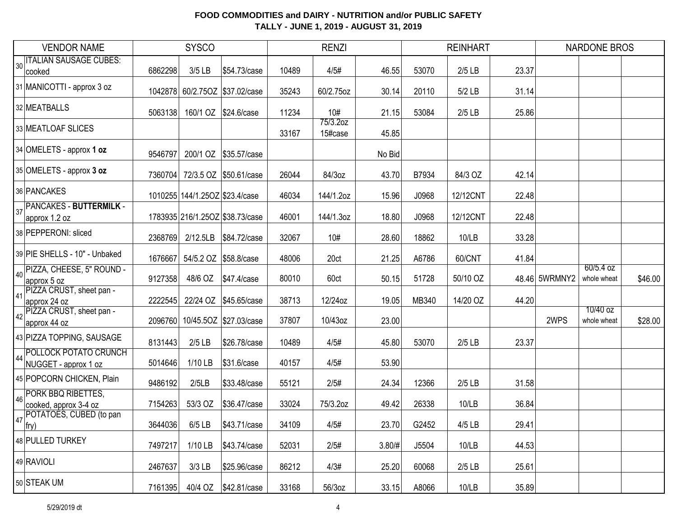|    | <b>VENDOR NAME</b>                            |         | <b>SYSCO</b>                   |                                 |       | <b>RENZI</b>        |        |       | <b>REINHART</b> |               | <b>NARDONE BROS</b>      |         |
|----|-----------------------------------------------|---------|--------------------------------|---------------------------------|-------|---------------------|--------|-------|-----------------|---------------|--------------------------|---------|
| 30 | <b>ITALIAN SAUSAGE CUBES:</b><br>cooked       | 6862298 | $3/5$ LB                       | \$54.73/case                    | 10489 | 4/5#                | 46.55  | 53070 | $2/5$ LB        | 23.37         |                          |         |
|    | 31 MANICOTTI - approx 3 oz                    |         |                                | 1042878 60/2.750Z \$37.02/case  | 35243 | 60/2.75oz           | 30.14  | 20110 | 5/2 LB          | 31.14         |                          |         |
|    | 32 MEATBALLS                                  | 5063138 | 160/1 OZ                       | \$24.6/case                     | 11234 | 10#                 | 21.15  | 53084 | $2/5$ LB        | 25.86         |                          |         |
|    | 33 MEATLOAF SLICES                            |         |                                |                                 | 33167 | 75/3.2oz<br>15#case | 45.85  |       |                 |               |                          |         |
|    | 34 OMELETS - approx 1 oz                      | 9546797 | 200/1 OZ                       | \$35.57/case                    |       |                     | No Bid |       |                 |               |                          |         |
|    | 35 OMELETS - approx 3 oz                      | 7360704 |                                | 72/3.5 OZ \$50.61/case          | 26044 | 84/3oz              | 43.70  | B7934 | 84/3 OZ         | 42.14         |                          |         |
|    | 36 PANCAKES                                   |         | 1010255 144/1.25OZ \$23.4/case |                                 | 46034 | 144/1.2oz           | 15.96  | J0968 | 12/12CNT        | 22.48         |                          |         |
| 37 | PANCAKES - BUTTERMILK -<br>approx 1.2 oz      |         |                                | 1783935 216/1.25OZ \$38.73/case | 46001 | 144/1.3oz           | 18.80  | J0968 | 12/12CNT        | 22.48         |                          |         |
|    | 38 PEPPERONI: sliced                          | 2368769 | 2/12.5LB                       | \$84.72/case                    | 32067 | 10#                 | 28.60  | 18862 | 10/LB           | 33.28         |                          |         |
|    | 39 PIE SHELLS - 10" - Unbaked                 | 1676667 | 54/5.2 OZ \$58.8/case          |                                 | 48006 | 20ct                | 21.25  | A6786 | 60/CNT          | 41.84         |                          |         |
| 40 | PIZZA, CHEESE, 5" ROUND -<br>approx 5 oz      | 9127358 | 48/6 OZ                        | \$47.4/case                     | 80010 | 60ct                | 50.15  | 51728 | 50/10 OZ        | 48.46 5WRMNY2 | 60/5.4 oz<br>whole wheat | \$46.00 |
| 41 | PIZZA CRUST, sheet pan -<br>approx 24 oz      | 2222545 | 22/24 OZ                       | \$45.65/case                    | 38713 | 12/24oz             | 19.05  | MB340 | 14/20 OZ        | 44.20         |                          |         |
| 42 | PIZZA CRUST, sheet pan -<br>approx 44 oz      | 2096760 |                                | 10/45.5OZ \$27.03/case          | 37807 | 10/43oz             | 23.00  |       |                 | 2WPS          | 10/40 oz<br>whole wheat  | \$28.00 |
|    | 43 PIZZA TOPPING, SAUSAGE                     | 8131443 | $2/5$ LB                       | \$26.78/case                    | 10489 | 4/5#                | 45.80  | 53070 | $2/5$ LB        | 23.37         |                          |         |
| 44 | POLLOCK POTATO CRUNCH<br>NUGGET - approx 1 oz | 5014646 | 1/10 LB                        | \$31.6/case                     | 40157 | 4/5#                | 53.90  |       |                 |               |                          |         |
|    | 45 POPCORN CHICKEN, Plain                     | 9486192 | 2/5LB                          | \$33.48/case                    | 55121 | 2/5#                | 24.34  | 12366 | $2/5$ LB        | 31.58         |                          |         |
| 46 | PORK BBQ RIBETTES,<br>cooked, approx 3-4 oz   | 7154263 | 53/3 OZ                        | \$36.47/case                    | 33024 | 75/3.2oz            | 49.42  | 26338 | 10/LB           | 36.84         |                          |         |
| 47 | POTATOES, CUBED (to pan<br>$ $ try)           | 3644036 |                                | 6/5 LB   \$43.71/case           | 34109 | 4/5#                | 23.70  | G2452 | 4/5 LB          | 29.41         |                          |         |
|    | 48 PULLED TURKEY                              | 7497217 | $1/10$ LB                      | \$43.74/case                    | 52031 | 2/5#                | 3.80/# | J5504 | 10/LB           | 44.53         |                          |         |
|    | 49 RAVIOLI                                    | 2467637 | $3/3$ LB                       | \$25.96/case                    | 86212 | 4/3#                | 25.20  | 60068 | $2/5$ LB        | 25.61         |                          |         |
|    | 50 STEAK UM                                   | 7161395 |                                |                                 | 33168 | 56/3oz              | 33.15  | A8066 | 10/LB           | 35.89         |                          |         |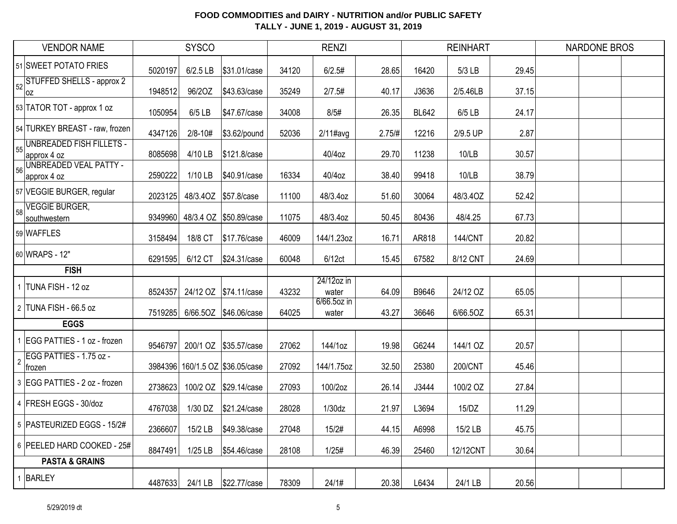|            | <b>VENDOR NAME</b>                      |         | <b>SYSCO</b> |                                 |       | <b>RENZI</b>         |        |              | <b>REINHART</b> |       | <b>NARDONE BROS</b> |  |
|------------|-----------------------------------------|---------|--------------|---------------------------------|-------|----------------------|--------|--------------|-----------------|-------|---------------------|--|
|            | 51 SWEET POTATO FRIES                   | 5020197 | $6/2.5$ LB   | \$31.01/case                    | 34120 | 6/2.5#               | 28.65  | 16420        | 5/3 LB          | 29.45 |                     |  |
| 52         | STUFFED SHELLS - approx 2<br> oz        | 1948512 | 96/20Z       | \$43.63/case                    | 35249 | 2/7.5#               | 40.17  | J3636        | 2/5.46LB        | 37.15 |                     |  |
|            | 53 TATOR TOT - approx 1 oz              | 1050954 | $6/5$ LB     | \$47.67/case                    | 34008 | 8/5#                 | 26.35  | <b>BL642</b> | 6/5 LB          | 24.17 |                     |  |
|            | 54 TURKEY BREAST - raw, frozen          | 4347126 | $2/8 - 10#$  | \$3.62/pound                    | 52036 | $2/11$ #avg          | 2.75/# | 12216        | 2/9.5 UP        | 2.87  |                     |  |
| 55         | UNBREADED FISH FILLETS -<br>approx 4 oz | 8085698 | 4/10 LB      | \$121.8/case                    |       | 40/4oz               | 29.70  | 11238        | 10/LB           | 30.57 |                     |  |
| 56         | UNBREADED VEAL PATTY -<br>approx 4 oz   | 2590222 | $1/10$ LB    | \$40.91/case                    | 16334 | 40/4oz               | 38.40  | 99418        | 10/LB           | 38.79 |                     |  |
|            | 57 VEGGIE BURGER, regular               | 2023125 |              | 48/3.40Z \$57.8/case            | 11100 | 48/3.4oz             | 51.60  | 30064        | 48/3.4OZ        | 52.42 |                     |  |
| 58         | <b>VEGGIE BURGER,</b><br>southwestern   | 9349960 |              | 48/3.4 OZ \$50.89/case          | 11075 | 48/3.4oz             | 50.45  | 80436        | 48/4.25         | 67.73 |                     |  |
|            | 59 WAFFLES                              | 3158494 | 18/8 CT      | \$17.76/case                    | 46009 | 144/1.23oz           | 16.71  | AR818        | <b>144/CNT</b>  | 20.82 |                     |  |
|            | 60 WRAPS - 12"                          | 6291595 | 6/12 CT      | \$24.31/case                    | 60048 | 6/12ct               | 15.45  | 67582        | 8/12 CNT        | 24.69 |                     |  |
|            | <b>FISH</b>                             |         |              |                                 |       |                      |        |              |                 |       |                     |  |
|            | TUNA FISH - 12 oz                       | 8524357 |              | 24/12 OZ \$74.11/case           | 43232 | 24/12oz in<br>water  | 64.09  | B9646        | 24/12 OZ        | 65.05 |                     |  |
|            | 2 TUNA FISH - 66.5 oz                   |         |              | 7519285 6/66.5OZ \$46.06/case   | 64025 | 6/66.5oz in<br>water | 43.27  | 36646        | 6/66.5OZ        | 65.31 |                     |  |
|            | <b>EGGS</b>                             |         |              |                                 |       |                      |        |              |                 |       |                     |  |
|            | 1 EGG PATTIES - 1 oz - frozen           | 9546797 |              | 200/1 OZ \$35.57/case           | 27062 | 144/1oz              | 19.98  | G6244        | 144/1 OZ        | 20.57 |                     |  |
| $\sqrt{2}$ | EGG PATTIES - 1.75 oz -<br>∣frozen      |         |              | 3984396 160/1.5 OZ \$36.05/case | 27092 | 144/1.75oz           | 32.50  | 25380        | 200/CNT         | 45.46 |                     |  |
|            | 3 EGG PATTIES - 2 oz - frozen           | 2738623 | 100/2 OZ     | \$29.14/case                    | 27093 | 100/2oz              | 26.14  | J3444        | 100/2 OZ        | 27.84 |                     |  |
|            |                                         |         |              |                                 |       |                      |        |              |                 |       |                     |  |
|            | 4 FRESH EGGS - 30/doz                   | 4767038 | 1/30 DZ      | \$21.24/case                    | 28028 | 1/30dz               | 21.97  | L3694        | 15/DZ           | 11.29 |                     |  |
|            | 5 PASTEURIZED EGGS - 15/2#              | 2366607 | 15/2 LB      | \$49.38/case                    | 27048 | 15/2#                | 44.15  | A6998        | 15/2 LB         | 45.75 |                     |  |
|            | 6 PEELED HARD COOKED - 25#              | 8847491 | $1/25$ LB    | \$54.46/case                    | 28108 | 1/25#                | 46.39  | 25460        | 12/12CNT        | 30.64 |                     |  |
|            | <b>PASTA &amp; GRAINS</b>               |         |              |                                 |       |                      |        |              |                 |       |                     |  |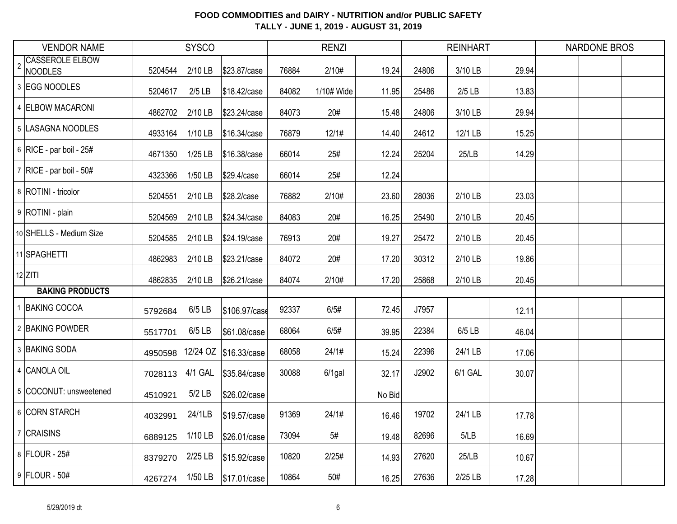|                | <b>VENDOR NAME</b>                | <b>SYSCO</b> |           |                        | <b>RENZI</b> |            |        | <b>REINHART</b> |          | <b>NARDONE BROS</b> |  |  |
|----------------|-----------------------------------|--------------|-----------|------------------------|--------------|------------|--------|-----------------|----------|---------------------|--|--|
| $\overline{2}$ | <b>CASSEROLE ELBOW</b><br>NOODLES | 5204544      | 2/10 LB   | \$23.87/case           | 76884        | 2/10#      | 19.24  | 24806           | 3/10 LB  | 29.94               |  |  |
|                | 3 EGG NOODLES                     | 5204617      | $2/5$ LB  | \$18.42/case           | 84082        | 1/10# Wide | 11.95  | 25486           | $2/5$ LB | 13.83               |  |  |
|                | 4 ELBOW MACARONI                  | 4862702      | 2/10 LB   | \$23.24/case           | 84073        | 20#        | 15.48  | 24806           | 3/10 LB  | 29.94               |  |  |
|                | 5 LASAGNA NOODLES                 | 4933164      | $1/10$ LB | \$16.34/case           | 76879        | 12/1#      | 14.40  | 24612           | 12/1 LB  | 15.25               |  |  |
|                | 6 RICE - par boil - $25#$         | 4671350      | $1/25$ LB | \$16.38/case           | 66014        | 25#        | 12.24  | 25204           | 25/LB    | 14.29               |  |  |
|                | $7$ RICE - par boil - 50#         | 4323366      | 1/50 LB   | \$29.4/case            | 66014        | 25#        | 12.24  |                 |          |                     |  |  |
|                | 8 ROTINI - tricolor               | 5204551      | 2/10 LB   | \$28.2/case            | 76882        | 2/10#      | 23.60  | 28036           | 2/10 LB  | 23.03               |  |  |
|                | 9 ROTINI - plain                  | 5204569      | 2/10 LB   | \$24.34/case           | 84083        | 20#        | 16.25  | 25490           | 2/10 LB  | 20.45               |  |  |
|                | 10 SHELLS - Medium Size           | 5204585      | $2/10$ LB | \$24.19/case           | 76913        | 20#        | 19.27  | 25472           | 2/10 LB  | 20.45               |  |  |
|                | 11 SPAGHETTI                      | 4862983      | 2/10 LB   | \$23.21/case           | 84072        | 20#        | 17.20  | 30312           | 2/10 LB  | 19.86               |  |  |
|                | $12$ ZITI                         | 4862835      | $2/10$ LB | \$26.21/case           | 84074        | 2/10#      | 17.20  | 25868           | 2/10 LB  | 20.45               |  |  |
|                | <b>BAKING PRODUCTS</b>            |              |           |                        |              |            |        |                 |          |                     |  |  |
|                | 1 BAKING COCOA                    | 5792684      | $6/5$ LB  | \$106.97/case          | 92337        | 6/5#       | 72.45  | J7957           |          | 12.11               |  |  |
|                | 2 BAKING POWDER                   | 5517701      | $6/5$ LB  | \$61.08/case           | 68064        | 6/5#       | 39.95  | 22384           | 6/5 LB   | 46.04               |  |  |
|                | 3 BAKING SODA                     | 4950598      |           | 12/24 OZ \$16.33/case  | 68058        | 24/1#      | 15.24  | 22396           | 24/1 LB  | 17.06               |  |  |
|                | 4 CANOLA OIL                      | 7028113      | 4/1 GAL   | \$35.84/case           | 30088        | $6/1$ gal  | 32.17  | J2902           | 6/1 GAL  | 30.07               |  |  |
|                | 5 COCONUT: unsweetened            | 4510921      | $5/2$ LB  | \$26.02/case           |              |            | No Bid |                 |          |                     |  |  |
|                | 6 CORN STARCH                     | 4032991      | 24/1LB    | \$19.57/case           | 91369        | 24/1#      | 16.46  | 19702           | 24/1 LB  | 17.78               |  |  |
|                | 7 CRAISINS                        | 6889125      | 1/10 LB   | \$26.01/case           | 73094        | 5#         | 19.48  | 82696           | 5/LB     | 16.69               |  |  |
|                | 8 FLOUR - 25#                     | 8379270      | 2/25 LB   | \$15.92/case           | 10820        | 2/25#      | 14.93  | 27620           | 25/LB    | 10.67               |  |  |
|                | $9$ FLOUR - 50#                   | 4267274      |           | 1/50 LB   \$17.01/case | 10864        | 50#        | 16.25  | 27636           | 2/25 LB  | 17.28               |  |  |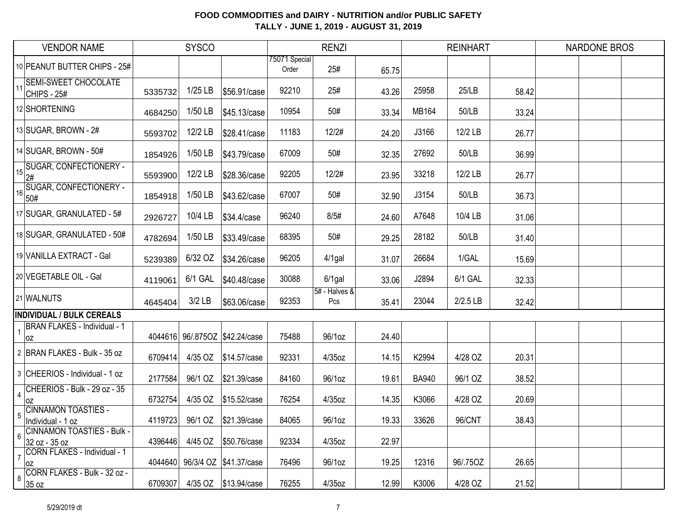|                         | <b>VENDOR NAME</b>                                 |         | <b>SYSCO</b> |                                |                        | <b>RENZI</b>         |       |              | <b>REINHART</b> |       | <b>NARDONE BROS</b> |  |
|-------------------------|----------------------------------------------------|---------|--------------|--------------------------------|------------------------|----------------------|-------|--------------|-----------------|-------|---------------------|--|
|                         | 10 PEANUT BUTTER CHIPS - 25#                       |         |              |                                | 75071 Special<br>Order | 25#                  | 65.75 |              |                 |       |                     |  |
| 11                      | <b>SEMI-SWEET CHOCOLATE</b><br>CHIPS - 25#         | 5335732 | $1/25$ LB    | \$56.91/case                   | 92210                  | 25#                  | 43.26 | 25958        | 25/LB           | 58.42 |                     |  |
|                         | 12 SHORTENING                                      | 4684250 | 1/50 LB      | \$45.13/case                   | 10954                  | 50#                  | 33.34 | MB164        | 50/LB           | 33.24 |                     |  |
|                         | $13$ SUGAR, BROWN - $2#$                           | 5593702 | 12/2 LB      | \$28.41/case                   | 11183                  | 12/2#                | 24.20 | J3166        | 12/2 LB         | 26.77 |                     |  |
|                         | 14 SUGAR, BROWN - 50#                              | 1854926 | 1/50 LB      | \$43.79/case                   | 67009                  | 50#                  | 32.35 | 27692        | 50/LB           | 36.99 |                     |  |
| 15                      | <b>SUGAR, CONFECTIONERY -</b><br>2#                | 5593900 | 12/2 LB      | \$28.36/case                   | 92205                  | 12/2#                | 23.95 | 33218        | 12/2 LB         | 26.77 |                     |  |
| 16 <sub>1</sub>         | SUGAR, CONFECTIONERY -<br>50#                      | 1854918 | $1/50$ LB    | \$43.62/case                   | 67007                  | 50#                  | 32.90 | J3154        | 50/LB           | 36.73 |                     |  |
|                         | 17 SUGAR, GRANULATED - 5#                          | 2926727 | 10/4 LB      | \$34.4/case                    | 96240                  | 8/5#                 | 24.60 | A7648        | 10/4 LB         | 31.06 |                     |  |
|                         | 18 SUGAR, GRANULATED - 50#                         | 4782694 | $1/50$ LB    | \$33.49/case                   | 68395                  | 50#                  | 29.25 | 28182        | 50/LB           | 31.40 |                     |  |
|                         | 19 VANILLA EXTRACT - Gal                           | 5239389 | 6/32 OZ      | \$34.26/case                   | 96205                  | $4/1$ gal            | 31.07 | 26684        | 1/GAL           | 15.69 |                     |  |
|                         | 20 VEGETABLE OIL - Gal                             | 4119061 | 6/1 GAL      | \$40.48/case                   | 30088                  | $6/1$ gal            | 33.06 | J2894        | 6/1 GAL         | 32.33 |                     |  |
|                         | 21 WALNUTS                                         | 4645404 | $3/2$ LB     | \$63.06/case                   | 92353                  | 5# - Halves &<br>Pcs | 35.41 | 23044        | $2/2.5$ LB      | 32.42 |                     |  |
|                         | <b>INDIVIDUAL / BULK CEREALS</b>                   |         |              |                                |                        |                      |       |              |                 |       |                     |  |
|                         | <b>BRAN FLAKES - Individual - 1</b><br>OZ          |         |              | 4044616 96/.8750Z \$42.24/case | 75488                  | 96/1oz               | 24.40 |              |                 |       |                     |  |
|                         | 2 BRAN FLAKES - Bulk - 35 oz                       | 6709414 | 4/35 OZ      | \$14.57/case                   | 92331                  | 4/35oz               | 14.15 | K2994        | 4/28 OZ         | 20.31 |                     |  |
|                         | 3 CHEERIOS - Individual - 1 oz                     | 2177584 | 96/1 OZ      | \$21.39/case                   | 84160                  | 96/1oz               | 19.61 | <b>BA940</b> | 96/1 OZ         | 38.52 |                     |  |
| $\overline{\mathbf{4}}$ | CHEERIOS - Bulk - 29 oz - 35<br>loz                | 6732754 | 4/35 OZ      | \$15.52/case                   | 76254                  | 4/35oz               | 14.35 | K3066        | 4/28 OZ         | 20.69 |                     |  |
| 5                       | <b>CINNAMON TOASTIES -</b><br>Individual - 1 oz    |         |              | 4119723 96/1 OZ \$21.39/case   | 84065                  | 96/1oz               | 19.33 | 33626        | 96/CNT          | 38.43 |                     |  |
| $6\phantom{a}$          | <b>CINNAMON TOASTIES - Bulk -</b><br>32 oz - 35 oz | 4396446 |              | 4/45 OZ \$50.76/case           | 92334                  | $4/35$ oz            | 22.97 |              |                 |       |                     |  |
| $\overline{7}$          | CORN FLAKES - Individual - 1<br>OZ                 |         |              | 4044640 96/3/4 OZ \$41.37/case | 76496                  | 96/1oz               | 19.25 | 12316        | 96/.75OZ        | 26.65 |                     |  |
| 8                       | CORN FLAKES - Bulk - 32 oz -<br>35 oz              | 6709307 |              | 4/35 OZ \$13.94/case           | 76255                  | $4/35$ oz            | 12.99 | K3006        | 4/28 OZ         | 21.52 |                     |  |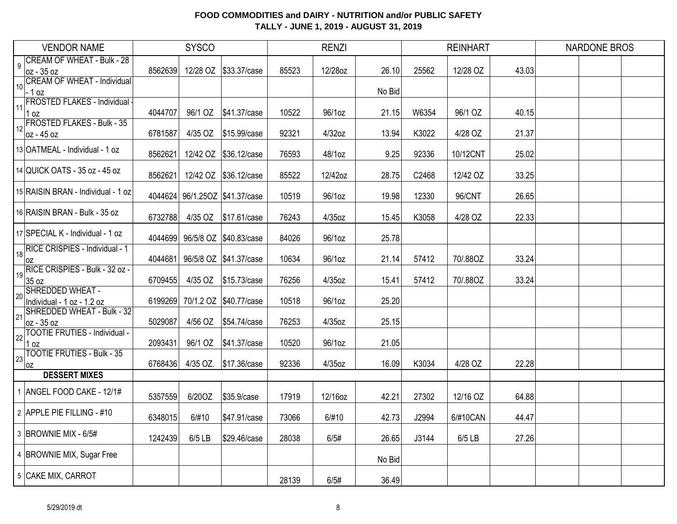|    | <b>VENDOR NAME</b>                               |         | <b>SYSCO</b> |                        |       | <b>RENZI</b> |        |       | <b>REINHART</b> |       | <b>NARDONE BROS</b> |  |
|----|--------------------------------------------------|---------|--------------|------------------------|-------|--------------|--------|-------|-----------------|-------|---------------------|--|
| 9  | <b>CREAM OF WHEAT - Bulk - 28</b>                | 8562639 |              | 12/28 OZ \$33.37/case  | 85523 | 12/28oz      | 26.10  | 25562 | 12/28 OZ        | 43.03 |                     |  |
|    | oz - 35 oz<br><b>CREAM OF WHEAT - Individual</b> |         |              |                        |       |              |        |       |                 |       |                     |  |
| 10 | $-1$ oz                                          |         |              |                        |       |              | No Bid |       |                 |       |                     |  |
| 11 | FROSTED FLAKES - Individual -<br>1 oz            | 4044707 | 96/1 OZ      | \$41.37/case           | 10522 | 96/1oz       | 21.15  | W6354 | 96/1 OZ         | 40.15 |                     |  |
|    | FROSTED FLAKES - Bulk - 35                       |         |              |                        |       |              |        |       |                 |       |                     |  |
| 12 | oz - 45 oz                                       | 6781587 | 4/35 OZ      | \$15.99/case           | 92321 | 4/32oz       | 13.94  | K3022 | 4/28 OZ         | 21.37 |                     |  |
|    | 13 OATMEAL - Individual - 1 oz                   | 8562621 |              | 12/42 OZ \$36.12/case  | 76593 | 48/1oz       | 9.25   | 92336 | 10/12CNT        | 25.02 |                     |  |
|    | 14 QUICK OATS - 35 oz - 45 oz                    | 8562621 |              | 12/42 OZ \$36.12/case  | 85522 | 12/42oz      | 28.75  | C2468 | 12/42 OZ        | 33.25 |                     |  |
|    | 15 RAISIN BRAN - Individual - 1 oz               | 4044624 |              | 96/1.25OZ \$41.37/case | 10519 | 96/1oz       | 19.98  | 12330 | 96/CNT          | 26.65 |                     |  |
|    | 16 RAISIN BRAN - Bulk - 35 oz                    | 6732788 | 4/35 OZ      | \$17.61/case           | 76243 | 4/35oz       | 15.45  | K3058 | 4/28 OZ         | 22.33 |                     |  |
|    | 17 SPECIAL K - Individual - 1 oz                 | 4044699 |              | 96/5/8 OZ \$40.83/case | 84026 | 96/1oz       | 25.78  |       |                 |       |                     |  |
| 18 | RICE CRISPIES - Individual - 1<br>0Z             | 4044681 |              | 96/5/8 OZ \$41.37/case | 10634 | 96/1oz       | 21.14  | 57412 | 70/.88OZ        | 33.24 |                     |  |
| 19 | RICE CRISPIES - Bulk - 32 oz -<br>35 oz          | 6709455 | 4/35 OZ      | \$15.73/case           | 76256 | 4/35oz       | 15.41  | 57412 | 70/.88OZ        | 33.24 |                     |  |
| 20 | SHREDDED WHEAT -<br>Individual - 1 oz - 1.2 oz   | 6199269 |              | 70/1.2 OZ \$40.77/case | 10518 | 96/1oz       | 25.20  |       |                 |       |                     |  |
| 21 | SHREDDED WHEAT - Bulk - 32<br>oz - 35 oz         | 5029087 | 4/56 OZ      | \$54.74/case           | 76253 | 4/35oz       | 25.15  |       |                 |       |                     |  |
| 22 | TOOTIE FRUTIES - Individual -<br>$1$ oz          | 2093431 | 96/1 OZ      | \$41.37/case           | 10520 | 96/1oz       | 21.05  |       |                 |       |                     |  |
| 23 | <b>TOOTIE FRUTIES - Bulk - 35</b><br>0Z          | 6768436 | 4/35 OZ.     | \$17.36/case           | 92336 | 4/35oz       | 16.09  | K3034 | 4/28 OZ         | 22.28 |                     |  |
|    | <b>DESSERT MIXES</b>                             |         |              |                        |       |              |        |       |                 |       |                     |  |
|    | 1 ANGEL FOOD CAKE - 12/1#                        | 5357559 | 6/20OZ       | \$35.9/case            | 17919 | 12/16oz      | 42.21  | 27302 | 12/16 OZ        | 64.88 |                     |  |
|    | 2 APPLE PIE FILLING - #10                        | 6348015 | 6/#10        | \$47.91/case           | 73066 | 6/#10        | 42.73  | J2994 | 6/#10CAN        | 44.47 |                     |  |
|    | 3 BROWNIE MIX - 6/5#                             | 1242439 | 6/5 LB       | \$29.46/case           | 28038 | 6/5#         | 26.65  | J3144 | 6/5 LB          | 27.26 |                     |  |
|    | 4 BROWNIE MIX, Sugar Free                        |         |              |                        |       |              | No Bid |       |                 |       |                     |  |
|    | 5 CAKE MIX, CARROT                               |         |              |                        | 28139 | 6/5#         | 36.49  |       |                 |       |                     |  |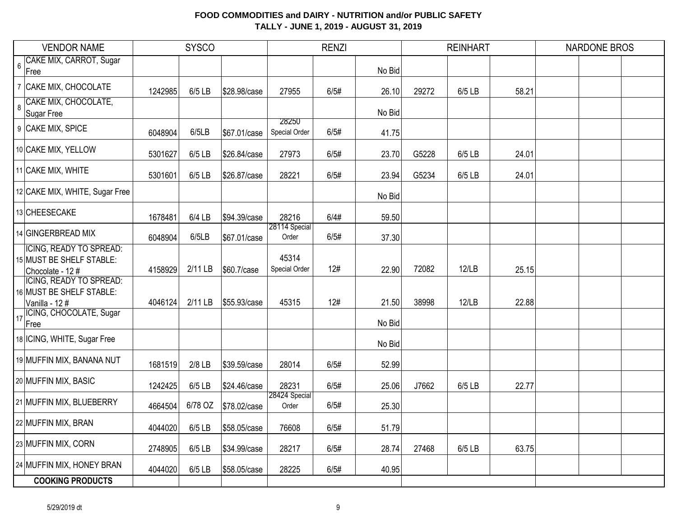|                | <b>VENDOR NAME</b>                           |         | <b>SYSCO</b> |              |                        | <b>RENZI</b> |        |       | <b>REINHART</b> |       | <b>NARDONE BROS</b> |  |
|----------------|----------------------------------------------|---------|--------------|--------------|------------------------|--------------|--------|-------|-----------------|-------|---------------------|--|
| $6\phantom{a}$ | CAKE MIX, CARROT, Sugar                      |         |              |              |                        |              |        |       |                 |       |                     |  |
|                | Free                                         |         |              |              |                        |              | No Bid |       |                 |       |                     |  |
|                | 7 CAKE MIX, CHOCOLATE                        | 1242985 | 6/5 LB       | \$28.98/case | 27955                  | 6/5#         | 26.10  | 29272 | 6/5 LB          | 58.21 |                     |  |
| $\overline{8}$ | CAKE MIX, CHOCOLATE,<br><b>Sugar Free</b>    |         |              |              |                        |              | No Bid |       |                 |       |                     |  |
|                |                                              |         |              |              | 28250                  |              |        |       |                 |       |                     |  |
|                | 9 CAKE MIX, SPICE                            | 6048904 | 6/5LB        | \$67.01/case | Special Order          | 6/5#         | 41.75  |       |                 |       |                     |  |
|                | 10 CAKE MIX, YELLOW                          | 5301627 | 6/5 LB       | \$26.84/case | 27973                  | 6/5#         | 23.70  | G5228 | 6/5 LB          | 24.01 |                     |  |
|                | 11 CAKE MIX, WHITE                           | 5301601 | 6/5 LB       | \$26.87/case | 28221                  | 6/5#         | 23.94  | G5234 | 6/5 LB          | 24.01 |                     |  |
|                | 12 CAKE MIX, WHITE, Sugar Free               |         |              |              |                        |              | No Bid |       |                 |       |                     |  |
|                | 13 CHEESECAKE                                | 1678481 | 6/4 LB       | \$94.39/case | 28216                  | 6/4#         | 59.50  |       |                 |       |                     |  |
|                | 14 GINGERBREAD MIX                           | 6048904 | 6/5LB        | \$67.01/case | 28114 Special<br>Order | 6/5#         | 37.30  |       |                 |       |                     |  |
|                | <b>ICING, READY TO SPREAD:</b>               |         |              |              | 45314                  |              |        |       |                 |       |                     |  |
|                | 15 MUST BE SHELF STABLE:<br>Chocolate - 12 # | 4158929 | 2/11 LB      | \$60.7/case  | Special Order          | 12#          | 22.90  | 72082 | 12/LB           | 25.15 |                     |  |
|                | <b>ICING, READY TO SPREAD:</b>               |         |              |              |                        |              |        |       |                 |       |                     |  |
|                | 16 MUST BE SHELF STABLE:                     |         |              |              |                        |              |        |       |                 |       |                     |  |
|                | Vanilla - 12#<br>ICING, CHOCOLATE, Sugar     | 4046124 | 2/11 LB      | \$55.93/case | 45315                  | 12#          | 21.50  | 38998 | 12/LB           | 22.88 |                     |  |
| 17             | Free                                         |         |              |              |                        |              | No Bid |       |                 |       |                     |  |
|                | 18 ICING, WHITE, Sugar Free                  |         |              |              |                        |              | No Bid |       |                 |       |                     |  |
|                | 19 MUFFIN MIX, BANANA NUT                    | 1681519 | $2/8$ LB     | \$39.59/case | 28014                  | 6/5#         | 52.99  |       |                 |       |                     |  |
|                | 20 MUFFIN MIX, BASIC                         | 1242425 | 6/5 LB       | \$24.46/case | 28231                  | 6/5#         | 25.06  | J7662 | 6/5 LB          | 22.77 |                     |  |
|                | 21 MUFFIN MIX, BLUEBERRY                     | 4664504 | 6/78 OZ      | \$78.02/case | 28424 Special<br>Order | 6/5#         | 25.30  |       |                 |       |                     |  |
|                | 22 MUFFIN MIX, BRAN                          | 4044020 | 6/5 LB       | \$58.05/case | 76608                  | 6/5#         | 51.79  |       |                 |       |                     |  |
|                | 23 MUFFIN MIX, CORN                          | 2748905 | 6/5 LB       | \$34.99/case | 28217                  | 6/5#         | 28.74  | 27468 | 6/5 LB          | 63.75 |                     |  |
|                | 24 MUFFIN MIX, HONEY BRAN                    | 4044020 | 6/5 LB       | \$58.05/case | 28225                  | 6/5#         | 40.95  |       |                 |       |                     |  |
|                | <b>COOKING PRODUCTS</b>                      |         |              |              |                        |              |        |       |                 |       |                     |  |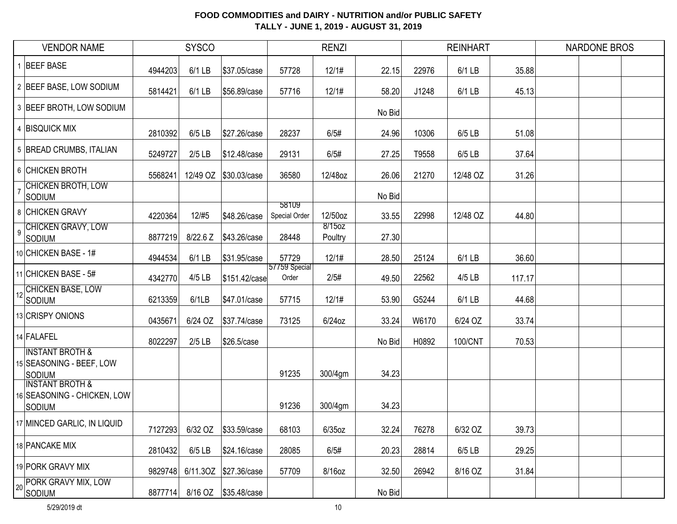|                | <b>VENDOR NAME</b>                                                         |         | <b>SYSCO</b> |                       |                        | <b>RENZI</b>      |        |       | <b>REINHART</b> |        | <b>NARDONE BROS</b> |  |
|----------------|----------------------------------------------------------------------------|---------|--------------|-----------------------|------------------------|-------------------|--------|-------|-----------------|--------|---------------------|--|
|                | 1 BEEF BASE                                                                | 4944203 | $6/1$ LB     | \$37.05/case          | 57728                  | 12/1#             | 22.15  | 22976 | 6/1 LB          | 35.88  |                     |  |
|                | 2 BEEF BASE, LOW SODIUM                                                    | 5814421 | $6/1$ LB     | \$56.89/case          | 57716                  | 12/1#             | 58.20  | J1248 | 6/1 LB          | 45.13  |                     |  |
|                | 3 BEEF BROTH, LOW SODIUM                                                   |         |              |                       |                        |                   | No Bid |       |                 |        |                     |  |
|                | 4 BISQUICK MIX                                                             | 2810392 | $6/5$ LB     | \$27.26/case          | 28237                  | 6/5#              | 24.96  | 10306 | 6/5 LB          | 51.08  |                     |  |
|                | 5 BREAD CRUMBS, ITALIAN                                                    | 5249727 | $2/5$ LB     | \$12.48/case          | 29131                  | 6/5#              | 27.25  | T9558 | 6/5 LB          | 37.64  |                     |  |
|                | 6 CHICKEN BROTH                                                            | 5568241 | 12/49 OZ     | \$30.03/case          | 36580                  | 12/48oz           | 26.06  | 21270 | 12/48 OZ        | 31.26  |                     |  |
|                | <b>CHICKEN BROTH, LOW</b><br>SODIUM                                        |         |              |                       |                        |                   | No Bid |       |                 |        |                     |  |
|                | 8 CHICKEN GRAVY                                                            | 4220364 | 12/#5        | \$48.26/case          | 58109<br>Special Order | 12/50oz           | 33.55  | 22998 | 12/48 OZ        | 44.80  |                     |  |
| $\overline{9}$ | <b>CHICKEN GRAVY, LOW</b><br>SODIUM                                        | 8877219 | 8/22.6 Z     | \$43.26/case          | 28448                  | 8/15oz<br>Poultry | 27.30  |       |                 |        |                     |  |
|                | 10 CHICKEN BASE - 1#                                                       | 4944534 | $6/1$ LB     | \$31.95/case          | 57729                  | 12/1#             | 28.50  | 25124 | 6/1 LB          | 36.60  |                     |  |
|                | 11 CHICKEN BASE - 5#                                                       | 4342770 | $4/5$ LB     | \$151.42/case         | 57759 Special<br>Order | 2/5#              | 49.50  | 22562 | 4/5 LB          | 117.17 |                     |  |
| 12             | CHICKEN BASE, LOW<br>SODIUM                                                | 6213359 | 6/1LB        | \$47.01/case          | 57715                  | 12/1#             | 53.90  | G5244 | 6/1 LB          | 44.68  |                     |  |
|                | 13 CRISPY ONIONS                                                           | 0435671 | 6/24 OZ      | \$37.74/case          | 73125                  | 6/24oz            | 33.24  | W6170 | 6/24 OZ         | 33.74  |                     |  |
|                | 14 FALAFEL                                                                 | 8022297 | $2/5$ LB     | \$26.5/case           |                        |                   | No Bid | H0892 | 100/CNT         | 70.53  |                     |  |
|                | <b>INSTANT BROTH &amp;</b><br>15 SEASONING - BEEF, LOW<br><b>SODIUM</b>    |         |              |                       | 91235                  | 300/4gm           | 34.23  |       |                 |        |                     |  |
|                | <b>INSTANT BROTH &amp;</b><br>16 SEASONING - CHICKEN, LOW<br><b>SODIUM</b> |         |              |                       | 91236                  | 300/4gm           | 34.23  |       |                 |        |                     |  |
|                | 17 MINCED GARLIC, IN LIQUID                                                | 7127293 | 6/32 OZ      | \$33.59/case          | 68103                  | $6/35$ oz         | 32.24  | 76278 | 6/32 OZ         | 39.73  |                     |  |
|                | 18 PANCAKE MIX                                                             | 2810432 | $6/5$ LB     | \$24.16/case          | 28085                  | 6/5#              | 20.23  | 28814 | 6/5 LB          | 29.25  |                     |  |
|                | 19 PORK GRAVY MIX                                                          | 9829748 |              | 6/11.3OZ \$27.36/case | 57709                  | 8/16oz            | 32.50  | 26942 | 8/16 OZ         | 31.84  |                     |  |
|                | 20 PORK GRAVY MIX, LOW<br>SODIUM                                           | 8877714 |              |                       |                        |                   | No Bid |       |                 |        |                     |  |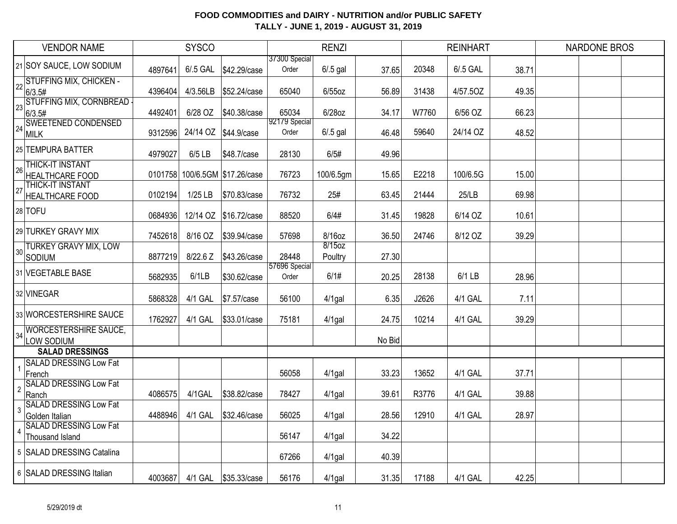|                | <b>VENDOR NAME</b>                                 |         | <b>SYSCO</b> |                                |                        | <b>RENZI</b>      |        |       | <b>REINHART</b> |       | <b>NARDONE BROS</b> |  |
|----------------|----------------------------------------------------|---------|--------------|--------------------------------|------------------------|-------------------|--------|-------|-----------------|-------|---------------------|--|
|                | 21 SOY SAUCE, LOW SODIUM                           | 4897641 | $6/0.5$ GAL  | \$42.29/case                   | 37300 Special<br>Order | $6/0.5$ gal       | 37.65  | 20348 | 6/.5 GAL        | 38.71 |                     |  |
|                | 22 STUFFING MIX, CHICKEN -<br>6/3.5#               | 4396404 | 4/3.56LB     | \$52.24/case                   | 65040                  | $6/55$ oz         | 56.89  | 31438 | 4/57.50Z        | 49.35 |                     |  |
|                | 23 STUFFING MIX, CORNBREAD<br>6/3.5#               | 4492401 | 6/28 OZ      | \$40.38/case                   | 65034                  | 6/28oz            | 34.17  | W7760 | 6/56 OZ         | 66.23 |                     |  |
|                | 24 SWEETENED CONDENSED<br>MILK                     | 9312596 |              | 24/14 OZ \$44.9/case           | 92179 Special<br>Order | $6/0.5$ gal       | 46.48  | 59640 | 24/14 OZ        | 48.52 |                     |  |
|                | 25 TEMPURA BATTER                                  | 4979027 | $6/5$ LB     | \$48.7/case                    | 28130                  | 6/5#              | 49.96  |       |                 |       |                     |  |
| 26             | <b>THICK-IT INSTANT</b><br><b>HEALTHCARE FOOD</b>  |         |              | 0101758 100/6.5GM \$17.26/case | 76723                  | 100/6.5gm         | 15.65  | E2218 | 100/6.5G        | 15.00 |                     |  |
| 27             | <b>THICK-IT INSTANT</b><br>HEALTHCARE FOOD         | 0102194 | 1/25 LB      | \$70.83/case                   | 76732                  | 25#               | 63.45  | 21444 | 25/LB           | 69.98 |                     |  |
|                | 28 TOFU                                            | 0684936 |              | 12/14 OZ \$16.72/case          | 88520                  | 6/4#              | 31.45  | 19828 | 6/14 OZ         | 10.61 |                     |  |
|                | 29 TURKEY GRAVY MIX                                | 7452618 | 8/16 OZ      | \$39.94/case                   | 57698                  | 8/16oz            | 36.50  | 24746 | 8/12 OZ         | 39.29 |                     |  |
|                | 30 TURKEY GRAVY MIX, LOW<br>SODIUM                 | 8877219 | 8/22.6 Z     | \$43.26/case                   | 28448                  | 8/15oz<br>Poultry | 27.30  |       |                 |       |                     |  |
|                | 31 VEGETABLE BASE                                  | 5682935 | 6/1LB        | \$30.62/case                   | 57696 Special<br>Order | 6/1#              | 20.25  | 28138 | 6/1 LB          | 28.96 |                     |  |
|                | 32 VINEGAR                                         | 5868328 | 4/1 GAL      | \$7.57/case                    | 56100                  | $4/1$ gal         | 6.35   | J2626 | 4/1 GAL         | 7.11  |                     |  |
|                | 33 WORCESTERSHIRE SAUCE                            | 1762927 | 4/1 GAL      | \$33.01/case                   | 75181                  | $4/1$ gal         | 24.75  | 10214 | 4/1 GAL         | 39.29 |                     |  |
|                | 34 WORCESTERSHIRE SAUCE,<br>LOW SODIUM             |         |              |                                |                        |                   | No Bid |       |                 |       |                     |  |
|                | <b>SALAD DRESSINGS</b>                             |         |              |                                |                        |                   |        |       |                 |       |                     |  |
|                | <b>SALAD DRESSING Low Fat</b><br>French            |         |              |                                | 56058                  | $4/1$ gal         | 33.23  | 13652 | 4/1 GAL         | 37.71 |                     |  |
| $\overline{2}$ | <b>SALAD DRESSING Low Fat</b><br>Ranch             | 4086575 | 4/1GAL       | \$38.82/case                   | 78427                  | $4/1$ gal         | 39.61  | R3776 | 4/1 GAL         | 39.88 |                     |  |
| 3              | <b>SALAD DRESSING Low Fat</b><br>Golden Italian    | 4488946 | 4/1 GAL      | \$32.46/case                   | 56025                  | $4/1$ gal         | 28.56  | 12910 | 4/1 GAL         | 28.97 |                     |  |
|                | 4 SALAD DRESSING Low Fat<br><b>Thousand Island</b> |         |              |                                | 56147                  | $4/1$ gal         | 34.22  |       |                 |       |                     |  |
|                | 5 SALAD DRESSING Catalina                          |         |              |                                | 67266                  | $4/1$ gal         | 40.39  |       |                 |       |                     |  |
|                | 6 SALAD DRESSING Italian                           | 4003687 | 4/1 GAL      | \$35.33/case                   | 56176                  | $4/1$ gal         | 31.35  | 17188 | 4/1 GAL         | 42.25 |                     |  |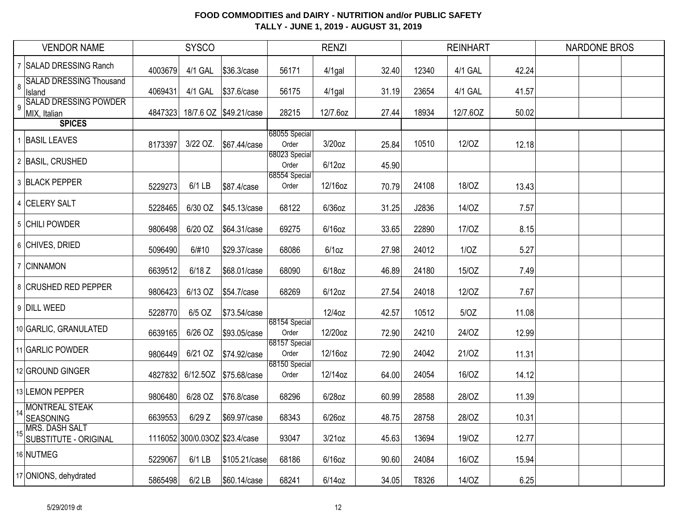|   | <b>VENDOR NAME</b>                             |         | <b>SYSCO</b>                   |                        |                        | <b>RENZI</b> |       |       | <b>REINHART</b> |       | <b>NARDONE BROS</b> |  |
|---|------------------------------------------------|---------|--------------------------------|------------------------|------------------------|--------------|-------|-------|-----------------|-------|---------------------|--|
|   | 7 SALAD DRESSING Ranch                         | 4003679 | 4/1 GAL                        | \$36.3/case            | 56171                  | $4/1$ gal    | 32.40 | 12340 | 4/1 GAL         | 42.24 |                     |  |
| 8 | <b>SALAD DRESSING Thousand</b><br>Island       | 4069431 | 4/1 GAL                        | \$37.6/case            | 56175                  | $4/1$ gal    | 31.19 | 23654 | 4/1 GAL         | 41.57 |                     |  |
|   | <b>SALAD DRESSING POWDER</b><br>MIX, Italian   | 4847323 |                                | 18/7.6 OZ \$49.21/case | 28215                  | 12/7.6oz     | 27.44 | 18934 | 12/7.6OZ        | 50.02 |                     |  |
|   | <b>SPICES</b>                                  |         |                                |                        |                        |              |       |       |                 |       |                     |  |
|   | <b>BASIL LEAVES</b>                            | 8173397 | 3/22 OZ.                       | \$67.44/case           | 68055 Special<br>Order | $3/20$ oz    | 25.84 | 10510 | 12/OZ           | 12.18 |                     |  |
|   | 2 BASIL, CRUSHED                               |         |                                |                        | 68023 Special<br>Order | $6/12$ oz    | 45.90 |       |                 |       |                     |  |
|   | 3 BLACK PEPPER                                 | 5229273 | 6/1 LB                         | \$87.4/case            | 68554 Special<br>Order | 12/16oz      | 70.79 | 24108 | 18/OZ           | 13.43 |                     |  |
|   | 4 CELERY SALT                                  | 5228465 | 6/30 OZ                        | \$45.13/case           | 68122                  | $6/36$ oz    | 31.25 | J2836 | 14/OZ           | 7.57  |                     |  |
|   | 5 CHILI POWDER                                 | 9806498 | 6/20 OZ                        | \$64.31/case           | 69275                  | $6/16$ oz    | 33.65 | 22890 | 17/0Z           | 8.15  |                     |  |
|   | 6 CHIVES, DRIED                                | 5096490 | 6/#10                          | \$29.37/case           | 68086                  | 6/1oz        | 27.98 | 24012 | 1/OZ            | 5.27  |                     |  |
|   | 7 CINNAMON                                     | 6639512 | $6/18$ Z                       | \$68.01/case           | 68090                  | 6/18oz       | 46.89 | 24180 | 15/OZ           | 7.49  |                     |  |
|   | 8 CRUSHED RED PEPPER                           | 9806423 | 6/13 OZ                        | \$54.7/case            | 68269                  | $6/12$ oz    | 27.54 | 24018 | 12/OZ           | 7.67  |                     |  |
|   | 9 DILL WEED                                    | 5228770 | 6/5 OZ                         | \$73.54/case           |                        | 12/4oz       | 42.57 | 10512 | 5/OZ            | 11.08 |                     |  |
|   | 10 GARLIC, GRANULATED                          | 6639165 | 6/26 OZ                        | \$93.05/case           | 68154 Special<br>Order | 12/20oz      | 72.90 | 24210 | 24/OZ           | 12.99 |                     |  |
|   | 11 GARLIC POWDER                               | 9806449 | 6/21 OZ                        | \$74.92/case           | 68157 Special<br>Order | 12/16oz      | 72.90 | 24042 | 21/0Z           | 11.31 |                     |  |
|   | 12 GROUND GINGER                               | 4827832 |                                | 6/12.50Z \$75.68/case  | 68150 Special<br>Order | 12/14oz      | 64.00 | 24054 | 16/OZ           | 14.12 |                     |  |
|   | 13 LEMON PEPPER                                | 9806480 | 6/28 OZ                        | \$76.8/case            | 68296                  | 6/28oz       | 60.99 | 28588 | 28/OZ           | 11.39 |                     |  |
|   | MONTREAL STEAK<br><b>SEASONING</b>             | 6639553 | $6/29$ Z                       | \$69.97/case           | 68343                  | $6/26$ oz    | 48.75 | 28758 | 28/OZ           | 10.31 |                     |  |
|   | <b>MRS. DASH SALT</b><br>SUBSTITUTE - ORIGINAL |         | 1116052 300/0.03OZ \$23.4/case |                        | 93047                  | $3/21$ oz    | 45.63 | 13694 | 19/OZ           | 12.77 |                     |  |
|   | 16 NUTMEG                                      | 5229067 | $6/1$ LB                       | \$105.21/case          | 68186                  | $6/16$ oz    | 90.60 | 24084 | 16/OZ           | 15.94 |                     |  |
|   | 17 ONIONS, dehydrated                          | 5865498 | $6/2$ LB                       | \$60.14/case           | 68241                  | $6/14$ oz    | 34.05 | T8326 | 14/OZ           | 6.25  |                     |  |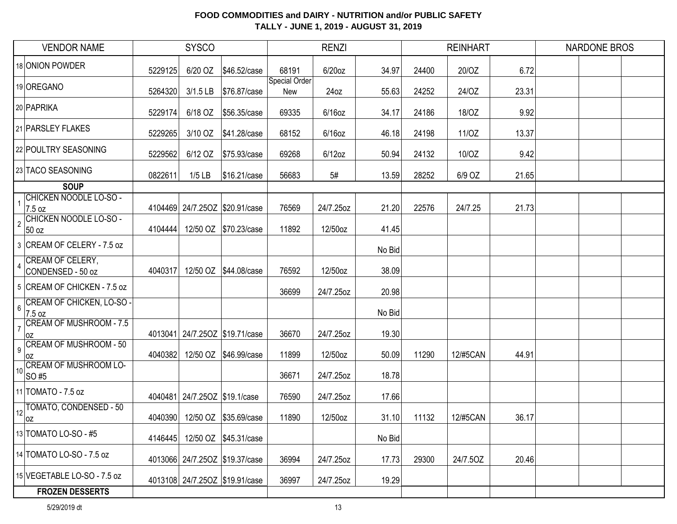| <b>VENDOR NAME</b>                                       |         | <b>SYSCO</b>                  |                                |                      | <b>RENZI</b> |        |       | <b>REINHART</b> |       | <b>NARDONE BROS</b> |  |
|----------------------------------------------------------|---------|-------------------------------|--------------------------------|----------------------|--------------|--------|-------|-----------------|-------|---------------------|--|
| 18 ONION POWDER                                          | 5229125 | 6/20 OZ                       | \$46.52/case                   | 68191                | 6/20oz       | 34.97  | 24400 | 20/OZ           | 6.72  |                     |  |
| 19 OREGANO                                               | 5264320 | $3/1.5$ LB                    | \$76.87/case                   | Special Order<br>New | 24oz         | 55.63  | 24252 | 24/OZ           | 23.31 |                     |  |
| 20 PAPRIKA                                               | 5229174 | 6/18 OZ                       | \$56.35/case                   | 69335                | $6/16$ oz    | 34.17  | 24186 | 18/OZ           | 9.92  |                     |  |
| 21 PARSLEY FLAKES                                        | 5229265 | 3/10 OZ                       | \$41.28/case                   | 68152                | $6/16$ oz    | 46.18  | 24198 | 11/OZ           | 13.37 |                     |  |
| 22 POULTRY SEASONING                                     | 5229562 | 6/12 OZ                       | \$75.93/case                   | 69268                | $6/12$ oz    | 50.94  | 24132 | 10/OZ           | 9.42  |                     |  |
| 23 TACO SEASONING                                        | 0822611 | $1/5$ LB                      | \$16.21/case                   | 56683                | 5#           | 13.59  | 28252 | 6/9 OZ          | 21.65 |                     |  |
| <b>SOUP</b>                                              |         |                               |                                |                      |              |        |       |                 |       |                     |  |
| CHICKEN NOODLE LO-SO -<br>7.5 oz                         |         |                               | 4104469 24/7.25OZ \$20.91/case | 76569                | 24/7.25oz    | 21.20  | 22576 | 24/7.25         | 21.73 |                     |  |
| CHICKEN NOODLE LO-SO -<br>$\overline{2}$<br>50 oz        | 4104444 |                               | 12/50 OZ \$70.23/case          | 11892                | 12/50oz      | 41.45  |       |                 |       |                     |  |
| 3 CREAM OF CELERY - 7.5 oz                               |         |                               |                                |                      |              | No Bid |       |                 |       |                     |  |
| CREAM OF CELERY,<br>CONDENSED - 50 oz                    | 4040317 |                               | 12/50 OZ \$44.08/case          | 76592                | 12/50oz      | 38.09  |       |                 |       |                     |  |
| 5 CREAM OF CHICKEN - 7.5 oz                              |         |                               |                                | 36699                | 24/7.25oz    | 20.98  |       |                 |       |                     |  |
| CREAM OF CHICKEN, LO-SO -<br>$6\phantom{a}$<br>7.5 oz    |         |                               |                                |                      |              | No Bid |       |                 |       |                     |  |
| <b>CREAM OF MUSHROOM - 7.5</b><br>$\overline{7}$<br>loz  |         |                               | 4013041 24/7.25OZ \$19.71/case | 36670                | 24/7.25oz    | 19.30  |       |                 |       |                     |  |
| <b>CREAM OF MUSHROOM - 50</b><br>$\boldsymbol{9}$<br>loz | 4040382 |                               | 12/50 OZ \$46.99/case          | 11899                | 12/50oz      | 50.09  | 11290 | 12/#5CAN        | 44.91 |                     |  |
| <b>CREAM OF MUSHROOM LO-</b><br>10 <sup>1</sup><br>SO#5  |         |                               |                                | 36671                | 24/7.25oz    | 18.78  |       |                 |       |                     |  |
| 11 TOMATO - 7.5 oz                                       |         | 4040481 24/7.25OZ \$19.1/case |                                | 76590                | 24/7.25oz    | 17.66  |       |                 |       |                     |  |
| TOMATO, CONDENSED - 50<br>12<br> OZ                      | 4040390 |                               | 12/50 OZ \$35.69/case          | 11890                | 12/50oz      | 31.10  | 11132 | 12/#5CAN        | 36.17 |                     |  |
| 13 TOMATO LO-SO - #5                                     | 4146445 |                               | 12/50 OZ \$45.31/case          |                      |              | No Bid |       |                 |       |                     |  |
| 14 TOMATO LO-SO - 7.5 oz                                 |         |                               | 4013066 24/7.25OZ \$19.37/case | 36994                | 24/7.25oz    | 17.73  | 29300 | 24/7.50Z        | 20.46 |                     |  |
| 15 VEGETABLE LO-SO - 7.5 oz                              |         |                               | 4013108 24/7.25OZ \$19.91/case | 36997                | 24/7.25oz    | 19.29  |       |                 |       |                     |  |
| <b>FROZEN DESSERTS</b>                                   |         |                               |                                |                      |              |        |       |                 |       |                     |  |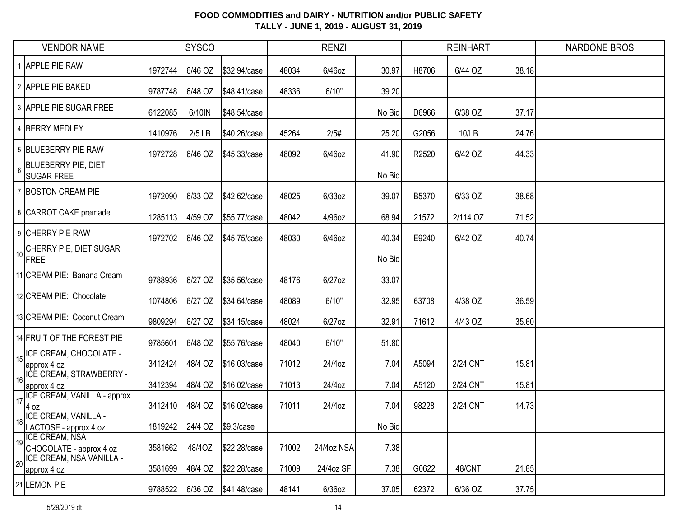|    | <b>VENDOR NAME</b>                                   |         | <b>SYSCO</b> |              |       | <b>RENZI</b> |        |       | <b>REINHART</b> |       | <b>NARDONE BROS</b> |  |
|----|------------------------------------------------------|---------|--------------|--------------|-------|--------------|--------|-------|-----------------|-------|---------------------|--|
|    | <b>APPLE PIE RAW</b>                                 | 1972744 | 6/46 OZ      | \$32.94/case | 48034 | 6/46oz       | 30.97  | H8706 | 6/44 OZ         | 38.18 |                     |  |
|    | 2 APPLE PIE BAKED                                    | 9787748 | 6/48 OZ      | \$48.41/case | 48336 | 6/10"        | 39.20  |       |                 |       |                     |  |
|    | 3 APPLE PIE SUGAR FREE                               | 6122085 | 6/10IN       | \$48.54/case |       |              | No Bid | D6966 | 6/38 OZ         | 37.17 |                     |  |
|    | 4 BERRY MEDLEY                                       | 1410976 | $2/5$ LB     | \$40.26/case | 45264 | 2/5#         | 25.20  | G2056 | 10/LB           | 24.76 |                     |  |
|    | 5 BLUEBERRY PIE RAW                                  | 1972728 | 6/46 OZ      | \$45.33/case | 48092 | 6/46oz       | 41.90  | R2520 | 6/42 OZ         | 44.33 |                     |  |
| 6  | <b>BLUEBERRY PIE, DIET</b><br><b>SUGAR FREE</b>      |         |              |              |       |              | No Bid |       |                 |       |                     |  |
|    | 7 BOSTON CREAM PIE                                   | 1972090 | 6/33 OZ      | \$42.62/case | 48025 | $6/33$ oz    | 39.07  | B5370 | 6/33 OZ         | 38.68 |                     |  |
|    | 8 CARROT CAKE premade                                | 1285113 | 4/59 OZ      | \$55.77/case | 48042 | 4/96oz       | 68.94  | 21572 | 2/114 OZ        | 71.52 |                     |  |
|    | 9 CHERRY PIE RAW                                     | 1972702 | 6/46 OZ      | \$45.75/case | 48030 | 6/46oz       | 40.34  | E9240 | 6/42 OZ         | 40.74 |                     |  |
| 10 | <b>CHERRY PIE, DIET SUGAR</b><br>FREE                |         |              |              |       |              | No Bid |       |                 |       |                     |  |
|    | 11 CREAM PIE: Banana Cream                           | 9788936 | 6/27 OZ      | \$35.56/case | 48176 | 6/27oz       | 33.07  |       |                 |       |                     |  |
|    | 12 CREAM PIE: Chocolate                              | 1074806 | 6/27 OZ      | \$34.64/case | 48089 | 6/10"        | 32.95  | 63708 | 4/38 OZ         | 36.59 |                     |  |
|    | 13 CREAM PIE: Coconut Cream                          | 9809294 | 6/27 OZ      | \$34.15/case | 48024 | $6/27$ oz    | 32.91  | 71612 | 4/43 OZ         | 35.60 |                     |  |
|    | 14 FRUIT OF THE FOREST PIE                           | 9785601 | 6/48 OZ      | \$55.76/case | 48040 | 6/10"        | 51.80  |       |                 |       |                     |  |
| 15 | ICE CREAM, CHOCOLATE -<br>approx 4 oz                | 3412424 | 48/4 OZ      | \$16.03/case | 71012 | 24/4oz       | 7.04   | A5094 | 2/24 CNT        | 15.81 |                     |  |
| 16 | <b>ICE CREAM, STRAWBERRY -</b><br>approx 4 oz        | 3412394 | 48/4 OZ      | \$16.02/case | 71013 | 24/4oz       | 7.04   | A5120 | 2/24 CNT        | 15.81 |                     |  |
| 17 | ICE CREAM, VANILLA - approx<br>$4$ oz                | 3412410 | 48/4 OZ      | \$16.02/case | 71011 | 24/4oz       | 7.04   | 98228 | 2/24 CNT        | 14.73 |                     |  |
| 18 | <b>ICE CREAM, VANILLA -</b><br>LACTOSE - approx 4 oz | 1819242 | 24/4 OZ      | \$9.3/case   |       |              | No Bid |       |                 |       |                     |  |
| 19 | <b>ICE CREAM, NSA</b><br>CHOCOLATE - approx 4 oz     | 3581662 | 48/40Z       | \$22.28/case | 71002 | 24/4oz NSA   | 7.38   |       |                 |       |                     |  |
| 20 | <b>ICE CREAM, NSA VANILLA -</b><br>approx 4 oz       | 3581699 | 48/4 OZ      | \$22.28/case | 71009 | 24/4oz SF    | 7.38   | G0622 | 48/CNT          | 21.85 |                     |  |
|    | 21 LEMON PIE                                         | 9788522 | 6/36 OZ      | \$41.48/case | 48141 | 6/36oz       | 37.05  | 62372 | 6/36 OZ         | 37.75 |                     |  |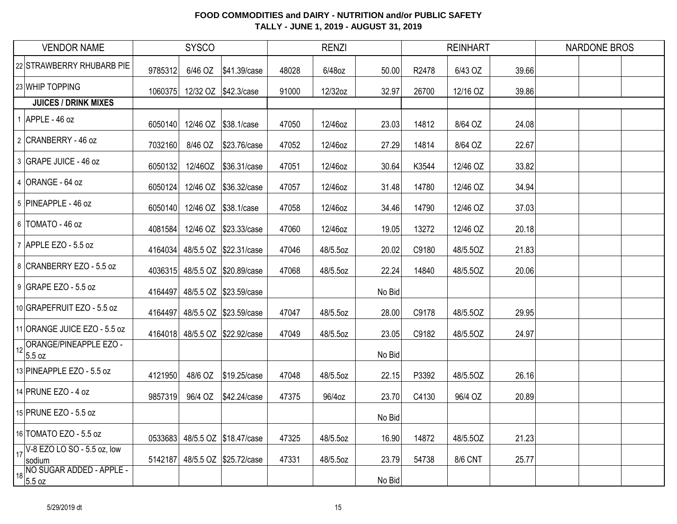| <b>VENDOR NAME</b>                                                        |         | <b>SYSCO</b> |                                |       | <b>RENZI</b> |        |       | <b>REINHART</b> |       | <b>NARDONE BROS</b> |  |
|---------------------------------------------------------------------------|---------|--------------|--------------------------------|-------|--------------|--------|-------|-----------------|-------|---------------------|--|
| 22 STRAWBERRY RHUBARB PIE                                                 | 9785312 | 6/46 OZ      | \$41.39/case                   | 48028 | 6/48oz       | 50.00  | R2478 | 6/43 OZ         | 39.66 |                     |  |
| 23 WHIP TOPPING                                                           | 1060375 |              | 12/32 OZ \$42.3/case           | 91000 | 12/32oz      | 32.97  | 26700 | 12/16 OZ        | 39.86 |                     |  |
| <b>JUICES / DRINK MIXES</b>                                               |         |              |                                |       |              |        |       |                 |       |                     |  |
| $1$ APPLE - 46 oz                                                         | 6050140 |              | 12/46 OZ \$38.1/case           | 47050 | 12/46oz      | 23.03  | 14812 | 8/64 OZ         | 24.08 |                     |  |
| 2 CRANBERRY - 46 oz                                                       | 7032160 | 8/46 OZ      | \$23.76/case                   | 47052 | 12/46oz      | 27.29  | 14814 | 8/64 OZ         | 22.67 |                     |  |
| 3 GRAPE JUICE - 46 oz                                                     | 6050132 | 12/46OZ      | \$36.31/case                   | 47051 | 12/46oz      | 30.64  | K3544 | 12/46 OZ        | 33.82 |                     |  |
| 4 ORANGE - 64 oz                                                          | 6050124 |              | 12/46 OZ \$36.32/case          | 47057 | 12/46oz      | 31.48  | 14780 | 12/46 OZ        | 34.94 |                     |  |
| 5 PINEAPPLE - 46 oz                                                       | 6050140 |              | 12/46 OZ \$38.1/case           | 47058 | 12/46oz      | 34.46  | 14790 | 12/46 OZ        | 37.03 |                     |  |
| 6   TOMATO - 46 oz                                                        | 4081584 |              | 12/46 OZ \$23.33/case          | 47060 | 12/46oz      | 19.05  | 13272 | 12/46 OZ        | 20.18 |                     |  |
| 7 APPLE EZO - 5.5 oz                                                      |         |              | 4164034 48/5.5 OZ \$22.31/case | 47046 | 48/5.5oz     | 20.02  | C9180 | 48/5.50Z        | 21.83 |                     |  |
| 8 CRANBERRY EZO - 5.5 oz                                                  |         |              | 4036315 48/5.5 OZ \$20.89/case | 47068 | 48/5.5oz     | 22.24  | 14840 | 48/5.5OZ        | 20.06 |                     |  |
| 9 GRAPE EZO - 5.5 oz                                                      | 4164497 |              | 48/5.5 OZ \$23.59/case         |       |              | No Bid |       |                 |       |                     |  |
| 10 GRAPEFRUIT EZO - 5.5 oz                                                | 4164497 |              | 48/5.5 OZ \$23.59/case         | 47047 | 48/5.5oz     | 28.00  | C9178 | 48/5.50Z        | 29.95 |                     |  |
| 11 ORANGE JUICE EZO - 5.5 oz                                              | 4164018 |              | 48/5.5 OZ \$22.92/case         | 47049 | 48/5.5oz     | 23.05  | C9182 | 48/5.50Z        | 24.97 |                     |  |
| 12 ORANGE/PINEAPPLE EZO -<br>5.5 oz                                       |         |              |                                |       |              | No Bid |       |                 |       |                     |  |
| 13 PINEAPPLE EZO - 5.5 oz                                                 | 4121950 |              |                                | 47048 | 48/5.5oz     | 22.15  | P3392 | 48/5.5OZ        | 26.16 |                     |  |
| 14 PRUNE EZO - 4 oz                                                       | 9857319 | 96/4 OZ      | \$42.24/case                   | 47375 | 96/4oz       | 23.70  | C4130 | 96/4 OZ         | 20.89 |                     |  |
| 15 PRUNE EZO - 5.5 oz                                                     |         |              |                                |       |              | No Bid |       |                 |       |                     |  |
| 16 TOMATO EZO - 5.5 oz                                                    | 0533683 |              | 48/5.5 OZ \$18.47/case         | 47325 | 48/5.5oz     | 16.90  | 14872 | 48/5.5OZ        | 21.23 |                     |  |
| $\left  \frac{1}{17} \right  \sqrt{18}$ EZO LO SO - 5.5 oz, low<br>sodium | 5142187 |              | 48/5.5 OZ \$25.72/case         | 47331 | 48/5.5oz     | 23.79  | 54738 | 8/6 CNT         | 25.77 |                     |  |
| 18 NO SUGAR ADDED - APPLE -<br>18 5.5 oz                                  |         |              |                                |       |              | No Bid |       |                 |       |                     |  |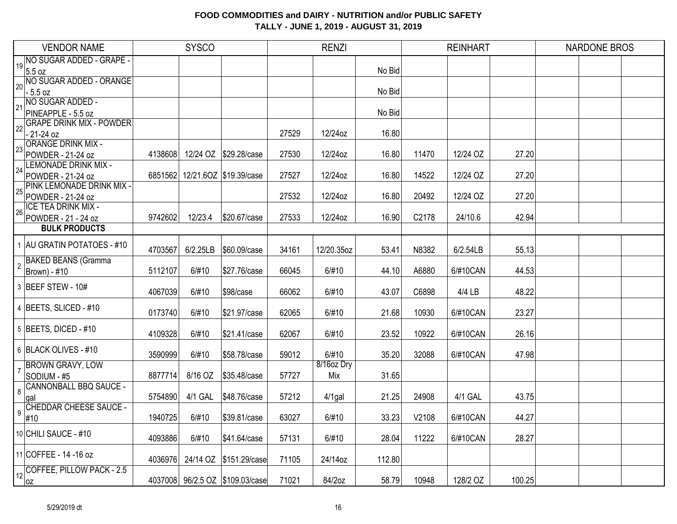|                | <b>VENDOR NAME</b>                                    |         | <b>SYSCO</b> |                                 |       | <b>RENZI</b> |        |       | <b>REINHART</b> |        | <b>NARDONE BROS</b> |  |
|----------------|-------------------------------------------------------|---------|--------------|---------------------------------|-------|--------------|--------|-------|-----------------|--------|---------------------|--|
| 19             | NO SUGAR ADDED - GRAPE -                              |         |              |                                 |       |              |        |       |                 |        |                     |  |
|                | $5.5 \text{ oz}$                                      |         |              |                                 |       |              | No Bid |       |                 |        |                     |  |
| 20             | NO SUGAR ADDED - ORANGE                               |         |              |                                 |       |              |        |       |                 |        |                     |  |
|                | $-5.5 oz$                                             |         |              |                                 |       |              | No Bid |       |                 |        |                     |  |
| 21             | NO SUGAR ADDED -                                      |         |              |                                 |       |              |        |       |                 |        |                     |  |
|                | PINEAPPLE - 5.5 oz<br><b>GRAPE DRINK MIX - POWDER</b> |         |              |                                 |       |              | No Bid |       |                 |        |                     |  |
| 22             | $-21 - 24$ oz                                         |         |              |                                 | 27529 | 12/24oz      | 16.80  |       |                 |        |                     |  |
|                | <b>ORANGE DRINK MIX -</b>                             |         |              |                                 |       |              |        |       |                 |        |                     |  |
| 23             | POWDER - 21-24 oz                                     | 4138608 |              | 12/24 OZ \$29.28/case           | 27530 | 12/24oz      | 16.80  | 11470 | 12/24 OZ        | 27.20  |                     |  |
|                | <b>LEMONADE DRINK MIX -</b>                           |         |              |                                 |       |              |        |       |                 |        |                     |  |
| 24             | POWDER - 21-24 oz                                     |         |              | 6851562 12/21.6OZ \$19.39/case  | 27527 | 12/24oz      | 16.80  | 14522 | 12/24 OZ        | 27.20  |                     |  |
|                | PINK LEMONADE DRINK MIX -                             |         |              |                                 |       |              |        |       |                 |        |                     |  |
| 25             | POWDER - 21-24 oz                                     |         |              |                                 | 27532 | 12/24oz      | 16.80  | 20492 | 12/24 OZ        | 27.20  |                     |  |
| 26             | <b>ICE TEA DRINK MIX -</b>                            |         |              |                                 |       |              |        |       |                 |        |                     |  |
|                | POWDER - 21 - 24 oz                                   | 9742602 | 12/23.4      | \$20.67/case                    | 27533 | 12/24oz      | 16.90  | C2178 | 24/10.6         | 42.94  |                     |  |
|                | <b>BULK PRODUCTS</b>                                  |         |              |                                 |       |              |        |       |                 |        |                     |  |
|                | 1 AU GRATIN POTATOES - #10                            |         |              |                                 |       |              |        |       |                 |        |                     |  |
|                |                                                       | 4703567 | 6/2.25LB     | \$60.09/case                    | 34161 | 12/20.35oz   | 53.41  | N8382 | 6/2.54LB        | 55.13  |                     |  |
| $\overline{2}$ | <b>BAKED BEANS (Gramma</b>                            |         |              |                                 |       |              |        |       |                 |        |                     |  |
|                | Brown) - #10                                          | 5112107 | 6/#10        | \$27.76/case                    | 66045 | 6/#10        | 44.10  | A6880 | 6/#10CAN        | 44.53  |                     |  |
|                | 3 BEEF STEW - 10#                                     |         |              |                                 |       |              |        |       |                 |        |                     |  |
|                |                                                       | 4067039 | 6/#10        | \$98/case                       | 66062 | 6/#10        | 43.07  | C6898 | 4/4 LB          | 48.22  |                     |  |
|                | 4 BEETS, SLICED - #10                                 | 0173740 | 6/#10        | \$21.97/case                    | 62065 | 6/#10        | 21.68  | 10930 | 6/#10CAN        | 23.27  |                     |  |
|                |                                                       |         |              |                                 |       |              |        |       |                 |        |                     |  |
|                | 5   BEETS, DICED - #10                                | 4109328 | 6/#10        | \$21.41/case                    | 62067 | 6/#10        | 23.52  | 10922 | 6/#10CAN        | 26.16  |                     |  |
|                |                                                       |         |              |                                 |       |              |        |       |                 |        |                     |  |
|                | 6 BLACK OLIVES - #10                                  | 3590999 | 6/#10        | \$58.78/case                    | 59012 | 6/#10        | 35.20  | 32088 | 6/#10CAN        | 47.98  |                     |  |
|                | <b>BROWN GRAVY, LOW</b>                               |         |              |                                 |       | 8/16oz Dry   |        |       |                 |        |                     |  |
|                | SODIUM - #5                                           | 8877714 | 8/16 OZ      | \$35.48/case                    | 57727 | Mix          | 31.65  |       |                 |        |                     |  |
| 8              | <b>CANNONBALL BBQ SAUCE -</b>                         |         |              |                                 |       |              |        |       |                 |        |                     |  |
|                | gal                                                   | 5754890 | 4/1 GAL      | \$48.76/case                    | 57212 | $4/1$ gal    | 21.25  | 24908 | 4/1 GAL         | 43.75  |                     |  |
| 9              | <b>CHEDDAR CHEESE SAUCE -</b>                         |         |              |                                 |       |              |        |       |                 |        |                     |  |
|                | #10                                                   | 1940725 | 6/#10        | \$39.81/case                    | 63027 | 6/#10        | 33.23  | V2108 | 6/#10CAN        | 44.27  |                     |  |
|                | 10 CHILI SAUCE - #10                                  |         |              |                                 |       |              |        |       |                 |        |                     |  |
|                |                                                       | 4093886 | 6/#10        | \$41.64/case                    | 57131 | 6/#10        | 28.04  | 11222 | 6/#10CAN        | 28.27  |                     |  |
|                | 11 COFFEE - 14 - 16 oz                                |         |              |                                 |       |              |        |       |                 |        |                     |  |
|                | COFFEE, PILLOW PACK - 2.5                             | 4036976 | 24/14 OZ     | \$151.29/case                   | 71105 | 24/14oz      | 112.80 |       |                 |        |                     |  |
| 12             |                                                       |         |              | 4037008 96/2.5 OZ \$109.03/case | 71021 | 84/2oz       | 58.79  | 10948 | 128/2 OZ        | 100.25 |                     |  |
|                | 0Z                                                    |         |              |                                 |       |              |        |       |                 |        |                     |  |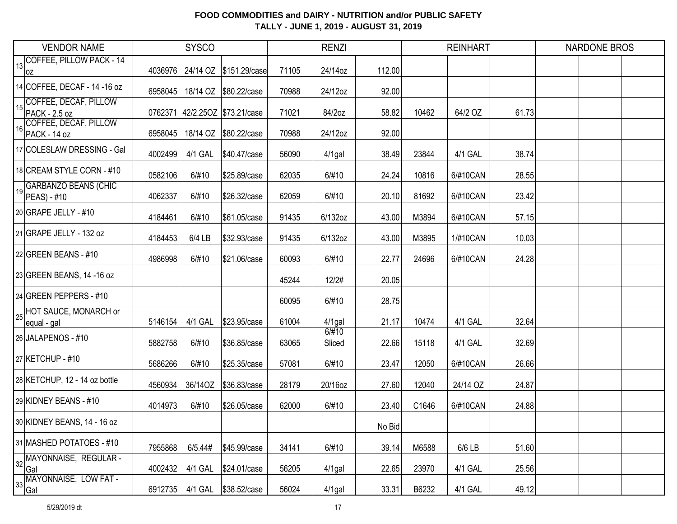| <b>VENDOR NAME</b>                               |         | <b>SYSCO</b> |                                |       | <b>RENZI</b>    |        |       | <b>REINHART</b> |       | <b>NARDONE BROS</b> |  |
|--------------------------------------------------|---------|--------------|--------------------------------|-------|-----------------|--------|-------|-----------------|-------|---------------------|--|
| 13 COFFEE, PILLOW PACK - 14<br> OZ               | 4036976 |              | 24/14 OZ \$151.29/case         | 71105 | 24/14oz         | 112.00 |       |                 |       |                     |  |
| 14 COFFEE, DECAF - 14 - 16 oz                    | 6958045 |              | 18/14 OZ \$80.22/case          | 70988 | 24/12oz         | 92.00  |       |                 |       |                     |  |
| COFFEE, DECAF, PILLOW<br>15<br>PACK - 2.5 oz     |         |              | 0762371 42/2.250Z \$73.21/case | 71021 | 84/2oz          | 58.82  | 10462 | 64/2 OZ         | 61.73 |                     |  |
| COFFEE, DECAF, PILLOW<br>16<br>PACK - 14 oz      | 6958045 |              | 18/14 OZ \$80.22/case          | 70988 | 24/12oz         | 92.00  |       |                 |       |                     |  |
| 17 COLESLAW DRESSING - Gal                       | 4002499 | 4/1 GAL      | \$40.47/case                   | 56090 | $4/1$ gal       | 38.49  | 23844 | 4/1 GAL         | 38.74 |                     |  |
| 18 CREAM STYLE CORN - #10                        | 0582106 | 6/#10        | \$25.89/case                   | 62035 | 6/#10           | 24.24  | 10816 | 6/#10CAN        | 28.55 |                     |  |
| 19 GARBANZO BEANS (CHIC<br>$ PEAS  - #10$        | 4062337 | 6/#10        | \$26.32/case                   | 62059 | 6/#10           | 20.10  | 81692 | 6/#10CAN        | 23.42 |                     |  |
| 20 GRAPE JELLY - #10                             | 4184461 | 6/#10        | \$61.05/case                   | 91435 | 6/132oz         | 43.00  | M3894 | 6/#10CAN        | 57.15 |                     |  |
| 21 GRAPE JELLY - 132 oz                          | 4184453 | 6/4 LB       | \$32.93/case                   | 91435 | 6/132oz         | 43.00  | M3895 | 1/#10CAN        | 10.03 |                     |  |
| $ 22 $ GREEN BEANS - #10                         | 4986998 | 6/#10        | \$21.06/case                   | 60093 | 6/#10           | 22.77  | 24696 | 6/#10CAN        | 24.28 |                     |  |
| 23 GREEN BEANS, 14 -16 oz                        |         |              |                                | 45244 | 12/2#           | 20.05  |       |                 |       |                     |  |
| 24 GREEN PEPPERS - #10                           |         |              |                                | 60095 | 6/#10           | 28.75  |       |                 |       |                     |  |
| 25 HOT SAUCE, MONARCH or<br>equal - gal          | 5146154 | 4/1 GAL      | \$23.95/case                   | 61004 | $4/1$ gal       | 21.17  | 10474 | 4/1 GAL         | 32.64 |                     |  |
| 26 JALAPENOS - #10                               | 5882758 | 6/#10        | \$36.85/case                   | 63065 | 6/#10<br>Sliced | 22.66  | 15118 | 4/1 GAL         | 32.69 |                     |  |
| 27 KETCHUP - #10                                 | 5686266 | 6/#10        | \$25.35/case                   | 57081 | 6/#10           | 23.47  | 12050 | 6/#10CAN        | 26.66 |                     |  |
| 28 KETCHUP, 12 - 14 oz bottle                    | 4560934 | 36/14OZ      | \$36.83/case                   | 28179 | 20/16oz         | 27.60  | 12040 | 24/14 OZ        | 24.87 |                     |  |
| 29 KIDNEY BEANS - #10                            | 4014973 | 6/#10        | \$26.05/case                   | 62000 | 6/#10           | 23.40  | C1646 | 6/#10CAN        | 24.88 |                     |  |
| 30 KIDNEY BEANS, 14 - 16 oz                      |         |              |                                |       |                 | No Bid |       |                 |       |                     |  |
| 31 MASHED POTATOES - #10                         | 7955868 | 6/5.44#      | \$45.99/case                   | 34141 | 6/#10           | 39.14  | M6588 | 6/6 LB          | 51.60 |                     |  |
| 32 MAYONNAISE, REGULAR -<br>Gal                  | 4002432 | 4/1 GAL      | \$24.01/case                   | 56205 | $4/1$ gal       | 22.65  | 23970 | 4/1 GAL         | 25.56 |                     |  |
| MAYONNAISE, LOW FAT -<br>33<br><sup>'</sup>  Gal | 6912735 | 4/1 GAL      | \$38.52/case                   | 56024 | $4/1$ gal       | 33.31  | B6232 | 4/1 GAL         | 49.12 |                     |  |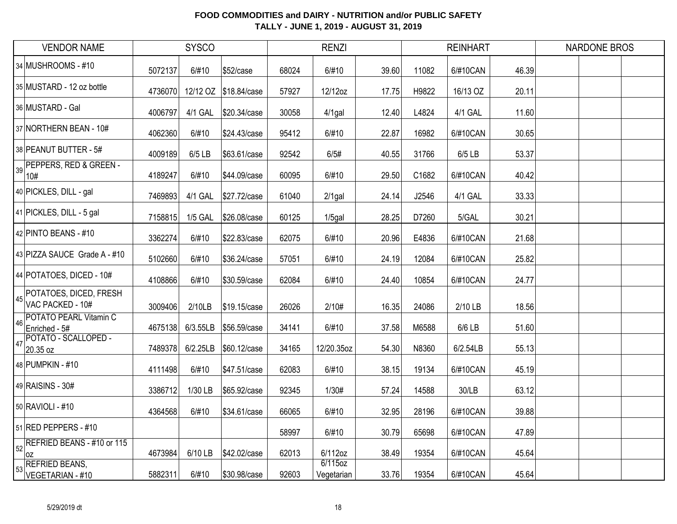| <b>VENDOR NAME</b>                                              |         | <b>SYSCO</b>   |                       |       | <b>RENZI</b>          |       |       | <b>REINHART</b> |       | <b>NARDONE BROS</b> |
|-----------------------------------------------------------------|---------|----------------|-----------------------|-------|-----------------------|-------|-------|-----------------|-------|---------------------|
| 34 MUSHROOMS - #10                                              | 5072137 | 6/#10          | \$52/case             | 68024 | 6/#10                 | 39.60 | 11082 | 6/#10CAN        | 46.39 |                     |
| 35 MUSTARD - 12 oz bottle                                       | 4736070 |                | 12/12 OZ \$18.84/case | 57927 | 12/12oz               | 17.75 | H9822 | 16/13 OZ        | 20.11 |                     |
| 36 MUSTARD - Gal                                                | 4006797 | 4/1 GAL        | \$20.34/case          | 30058 | $4/1$ gal             | 12.40 | L4824 | 4/1 GAL         | 11.60 |                     |
| 37 NORTHERN BEAN - 10#                                          | 4062360 | 6/#10          | \$24.43/case          | 95412 | 6/#10                 | 22.87 | 16982 | 6/#10CAN        | 30.65 |                     |
| 38 PEANUT BUTTER - 5#                                           | 4009189 | 6/5 LB         | \$63.61/case          | 92542 | 6/5#                  | 40.55 | 31766 | 6/5 LB          | 53.37 |                     |
| PEPPERS, RED & GREEN -<br>39<br>10#                             | 4189247 | 6/#10          | \$44.09/case          | 60095 | 6/#10                 | 29.50 | C1682 | 6/#10CAN        | 40.42 |                     |
| 40 PICKLES, DILL - gal                                          | 7469893 | 4/1 GAL        | \$27.72/case          | 61040 | $2/1$ gal             | 24.14 | J2546 | 4/1 GAL         | 33.33 |                     |
| 41 PICKLES, DILL - 5 gal                                        | 7158815 | <b>1/5 GAL</b> | \$26.08/case          | 60125 | $1/5$ gal             | 28.25 | D7260 | 5/GAL           | 30.21 |                     |
| 42 PINTO BEANS - #10                                            | 3362274 | 6/#10          | \$22.83/case          | 62075 | 6/#10                 | 20.96 | E4836 | 6/#10CAN        | 21.68 |                     |
| 43 PIZZA SAUCE Grade A - #10                                    | 5102660 | 6/#10          | \$36.24/case          | 57051 | 6/#10                 | 24.19 | 12084 | 6/#10CAN        | 25.82 |                     |
| 44 POTATOES, DICED - 10#                                        | 4108866 | 6/#10          | \$30.59/case          | 62084 | 6/#10                 | 24.40 | 10854 | 6/#10CAN        | 24.77 |                     |
| A <sub>45</sub> POTATOES, DICED, FRESH<br>VAC PACKED - 10#      | 3009406 | 2/10LB         | \$19.15/case          | 26026 | 2/10#                 | 16.35 | 24086 | 2/10 LB         | 18.56 |                     |
| <b>POTATO PEARL Vitamin C</b><br>46<br>Enriched - 5#            | 4675138 | 6/3.55LB       | \$56.59/case          | 34141 | 6/#10                 | 37.58 | M6588 | 6/6 LB          | 51.60 |                     |
| POTATO - SCALLOPED -<br>47<br>20.35 oz                          | 7489378 | 6/2.25LB       | \$60.12/case          | 34165 | 12/20.35oz            | 54.30 | N8360 | 6/2.54LB        | 55.13 |                     |
| 48 PUMPKIN - #10                                                | 4111498 | 6/#10          | \$47.51/case          | 62083 | 6/#10                 | 38.15 | 19134 | 6/#10CAN        | 45.19 |                     |
| 49 RAISINS - 30#                                                | 3386712 | 1/30 LB        | \$65.92/case          | 92345 | 1/30#                 | 57.24 | 14588 | 30/LB           | 63.12 |                     |
| 50 RAVIOLI - #10                                                | 4364568 | 6/#10          | \$34.61/case          | 66065 | 6/#10                 | 32.95 | 28196 | 6/#10CAN        | 39.88 |                     |
| 51 RED PEPPERS - #10                                            |         |                |                       | 58997 | 6/#10                 | 30.79 | 65698 | 6/#10CAN        | 47.89 |                     |
| $\left  \frac{1}{52} \right $ REFRIED BEANS - #10 or 115<br>loz | 4673984 | 6/10 LB        | \$42.02/case          | 62013 | 6/112oz               | 38.49 | 19354 | 6/#10CAN        | 45.64 |                     |
| <b>REFRIED BEANS,</b><br>53<br>VEGETARIAN - #10                 | 5882311 | 6/#10          | \$30.98/case          | 92603 | 6/115oz<br>Vegetarian | 33.76 | 19354 | 6/#10CAN        | 45.64 |                     |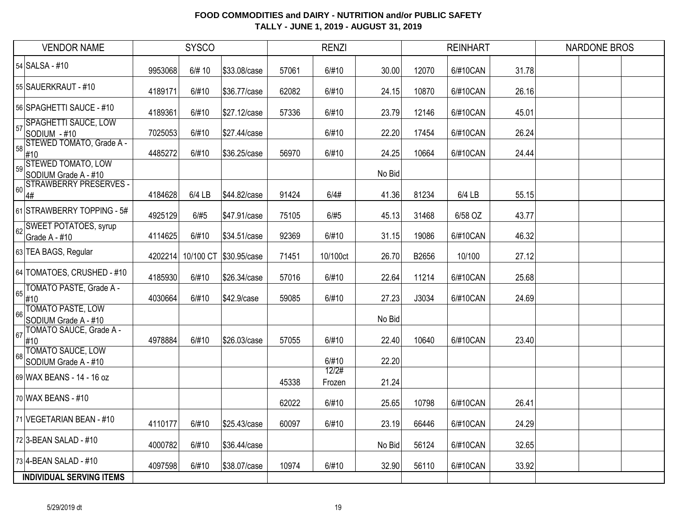|    | <b>VENDOR NAME</b>                                |         | <b>SYSCO</b> |              |       | <b>RENZI</b>    |        |       | <b>REINHART</b> |       | <b>NARDONE BROS</b> |  |
|----|---------------------------------------------------|---------|--------------|--------------|-------|-----------------|--------|-------|-----------------|-------|---------------------|--|
|    | 54 SALSA - #10                                    | 9953068 | 6/# 10       | \$33.08/case | 57061 | 6/#10           | 30.00  | 12070 | 6/#10CAN        | 31.78 |                     |  |
|    | 55 SAUERKRAUT - #10                               | 4189171 | 6/#10        | \$36.77/case | 62082 | 6/#10           | 24.15  | 10870 | 6/#10CAN        | 26.16 |                     |  |
|    | 56 SPAGHETTI SAUCE - #10                          | 4189361 | 6/#10        | \$27.12/case | 57336 | 6/#10           | 23.79  | 12146 | 6/#10CAN        | 45.01 |                     |  |
| 57 | SPAGHETTI SAUCE, LOW<br>SODIUM - #10              | 7025053 | 6/#10        | \$27.44/case |       | 6/#10           | 22.20  | 17454 | 6/#10CAN        | 26.24 |                     |  |
| 58 | STEWED TOMATO, Grade A -<br>#10                   | 4485272 | 6/#10        | \$36.25/case | 56970 | 6/#10           | 24.25  | 10664 | 6/#10CAN        | 24.44 |                     |  |
| 59 | <b>STEWED TOMATO, LOW</b><br>SODIUM Grade A - #10 |         |              |              |       |                 | No Bid |       |                 |       |                     |  |
| 60 | <b>STRAWBERRY PRESERVES -</b><br>4#               | 4184628 | $6/4$ LB     | \$44.82/case | 91424 | 6/4#            | 41.36  | 81234 | 6/4 LB          | 55.15 |                     |  |
|    | 61 STRAWBERRY TOPPING - 5#                        | 4925129 | 6/#5         | \$47.91/case | 75105 | 6/#5            | 45.13  | 31468 | 6/58 OZ         | 43.77 |                     |  |
| 62 | <b>SWEET POTATOES, syrup</b><br>Grade A - #10     | 4114625 | 6/#10        | \$34.51/case | 92369 | 6/#10           | 31.15  | 19086 | 6/#10CAN        | 46.32 |                     |  |
|    | 63 TEA BAGS, Regular                              | 4202214 | 10/100 CT    | \$30.95/case | 71451 | 10/100ct        | 26.70  | B2656 | 10/100          | 27.12 |                     |  |
|    | 64 TOMATOES, CRUSHED - #10                        | 4185930 | 6/#10        | \$26.34/case | 57016 | 6/#10           | 22.64  | 11214 | 6/#10CAN        | 25.68 |                     |  |
| 65 | <b>TOMATO PASTE, Grade A -</b><br>#10             | 4030664 | 6/#10        | \$42.9/case  | 59085 | 6/#10           | 27.23  | J3034 | 6/#10CAN        | 24.69 |                     |  |
| 66 | <b>TOMATO PASTE, LOW</b><br>SODIUM Grade A - #10  |         |              |              |       |                 | No Bid |       |                 |       |                     |  |
| 67 | TOMATO SAUCE, Grade A -<br>#10                    | 4978884 | 6/#10        | \$26.03/case | 57055 | 6/#10           | 22.40  | 10640 | 6/#10CAN        | 23.40 |                     |  |
| 68 | <b>TOMATO SAUCE, LOW</b><br>SODIUM Grade A - #10  |         |              |              |       | 6/#10           | 22.20  |       |                 |       |                     |  |
|    | 69 WAX BEANS - 14 - 16 oz                         |         |              |              | 45338 | 12/2#<br>Frozen | 21.24  |       |                 |       |                     |  |
|    | 70 WAX BEANS - #10                                |         |              |              | 62022 | 6/#10           | 25.65  | 10798 | 6/#10CAN        | 26.41 |                     |  |
|    | 71 VEGETARIAN BEAN - #10                          | 4110177 | 6/#10        | \$25.43/case | 60097 | 6/#10           | 23.19  | 66446 | 6/#10CAN        | 24.29 |                     |  |
|    | 72 3-BEAN SALAD - #10                             | 4000782 | 6/#10        | \$36.44/case |       |                 | No Bid | 56124 | 6/#10CAN        | 32.65 |                     |  |
|    | 73 4-BEAN SALAD - #10                             | 4097598 | 6/#10        | \$38.07/case | 10974 | 6/#10           | 32.90  | 56110 | 6/#10CAN        | 33.92 |                     |  |
|    | <b>INDIVIDUAL SERVING ITEMS</b>                   |         |              |              |       |                 |        |       |                 |       |                     |  |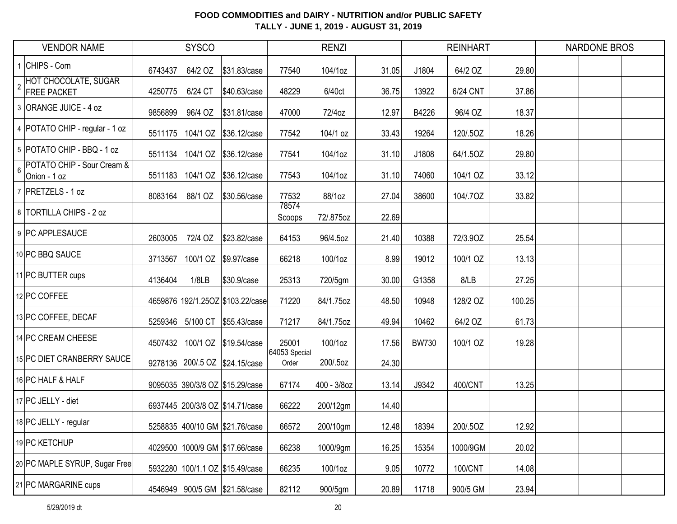|                | <b>VENDOR NAME</b>                                |         | <b>SYSCO</b> |                                  |                        | <b>RENZI</b> |       |              | <b>REINHART</b> |        | <b>NARDONE BROS</b> |  |
|----------------|---------------------------------------------------|---------|--------------|----------------------------------|------------------------|--------------|-------|--------------|-----------------|--------|---------------------|--|
|                | CHIPS - Corn                                      | 6743437 | 64/2 OZ      | \$31.83/case                     | 77540                  | 104/1oz      | 31.05 | J1804        | 64/2 OZ         | 29.80  |                     |  |
| $\overline{2}$ | <b>HOT CHOCOLATE, SUGAR</b><br><b>FREE PACKET</b> | 4250775 | 6/24 CT      | \$40.63/case                     | 48229                  | 6/40ct       | 36.75 | 13922        | 6/24 CNT        | 37.86  |                     |  |
|                | 3 ORANGE JUICE - 4 oz                             | 9856899 | 96/4 OZ      | \$31.81/case                     | 47000                  | 72/4oz       | 12.97 | B4226        | 96/4 OZ         | 18.37  |                     |  |
|                | 4   POTATO CHIP - regular - 1 oz                  | 5511175 |              | 104/1 OZ \$36.12/case            | 77542                  | 104/1 oz     | 33.43 | 19264        | 120/.5OZ        | 18.26  |                     |  |
|                | 5 POTATO CHIP - BBQ - 1 oz                        | 5511134 |              | 104/1 OZ \\$36.12/case           | 77541                  | 104/1oz      | 31.10 | J1808        | 64/1.5OZ        | 29.80  |                     |  |
| $6\phantom{a}$ | POTATO CHIP - Sour Cream &<br>Onion - 1 oz        | 5511183 |              | 104/1 OZ \$36.12/case            | 77543                  | 104/1oz      | 31.10 | 74060        | 104/1 OZ        | 33.12  |                     |  |
|                | 7 PRETZELS - 1 oz                                 | 8083164 | 88/1 OZ      | \$30.56/case                     | 77532                  | 88/1oz       | 27.04 | 38600        | 104/.7OZ        | 33.82  |                     |  |
|                | 8 TORTILLA CHIPS - 2 oz                           |         |              |                                  | 78574<br>Scoops        | 72/.875oz    | 22.69 |              |                 |        |                     |  |
|                | 9 PC APPLESAUCE                                   | 2603005 | 72/4 OZ      | \$23.82/case                     | 64153                  | 96/4.5oz     | 21.40 | 10388        | 72/3.90Z        | 25.54  |                     |  |
|                | 10 PC BBQ SAUCE                                   | 3713567 | 100/1 OZ     | \$9.97/case                      | 66218                  | 100/1oz      | 8.99  | 19012        | 100/1 OZ        | 13.13  |                     |  |
|                | 11 PC BUTTER cups                                 | 4136404 | 1/8LB        | \$30.9/case                      | 25313                  | 720/5gm      | 30.00 | G1358        | 8/LB            | 27.25  |                     |  |
|                | 12 PC COFFEE                                      |         |              | 4659876 192/1.25OZ \$103.22/case | 71220                  | 84/1.75oz    | 48.50 | 10948        | 128/2 OZ        | 100.25 |                     |  |
|                | 13 PC COFFEE, DECAF                               | 5259346 |              | 5/100 CT \$55.43/case            | 71217                  | 84/1.75oz    | 49.94 | 10462        | 64/2 OZ         | 61.73  |                     |  |
|                | 14 PC CREAM CHEESE                                | 4507432 |              | 100/1 OZ \$19.54/case            | 25001                  | 100/1oz      | 17.56 | <b>BW730</b> | 100/1 OZ        | 19.28  |                     |  |
|                | 15 PC DIET CRANBERRY SAUCE                        |         |              | 9278136 200/.5 OZ \$24.15/case   | 64053 Special<br>Order | 200/.5oz     | 24.30 |              |                 |        |                     |  |
|                | 16 PC HALF & HALF                                 |         |              | 9095035 390/3/8 OZ \$15.29/case  | 67174                  | 400 - 3/8oz  | 13.14 | J9342        | 400/CNT         | 13.25  |                     |  |
|                | 17 PC JELLY - diet                                |         |              | 6937445 200/3/8 OZ \$14.71/case  | 66222                  | 200/12gm     | 14.40 |              |                 |        |                     |  |
|                | 18 PC JELLY - regular                             |         |              | 5258835 400/10 GM \$21.76/case   | 66572                  | 200/10gm     | 12.48 | 18394        | 200/.5OZ        | 12.92  |                     |  |
|                | 19 PC KETCHUP                                     |         |              | 4029500 1000/9 GM \$17.66/case   | 66238                  | 1000/9gm     | 16.25 | 15354        | 1000/9GM        | 20.02  |                     |  |
|                | 20 PC MAPLE SYRUP, Sugar Free                     |         |              | 5932280 100/1.1 OZ \$15.49/case  | 66235                  | 100/1oz      | 9.05  | 10772        | 100/CNT         | 14.08  |                     |  |
|                | 21 PC MARGARINE cups                              |         |              | 4546949 900/5 GM \$21.58/case    | 82112                  | 900/5gm      | 20.89 | 11718        | 900/5 GM        | 23.94  |                     |  |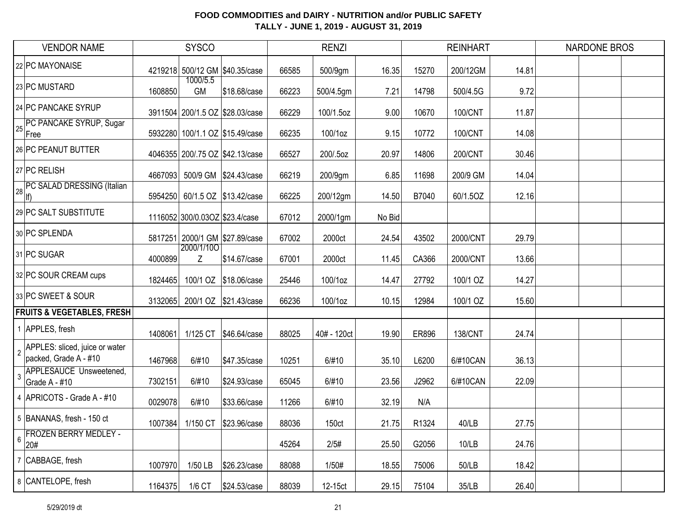| <b>VENDOR NAME</b>                                                        |         | <b>SYSCO</b>                   |                                 |       | <b>RENZI</b> |        |       | <b>REINHART</b> |       | <b>NARDONE BROS</b> |  |
|---------------------------------------------------------------------------|---------|--------------------------------|---------------------------------|-------|--------------|--------|-------|-----------------|-------|---------------------|--|
| 22 PC MAYONAISE                                                           |         |                                | 4219218 500/12 GM \$40.35/case  | 66585 | 500/9gm      | 16.35  | 15270 | 200/12GM        | 14.81 |                     |  |
| 23 PC MUSTARD                                                             | 1608850 | 1000/5.5<br>GM                 | \$18.68/case                    | 66223 | 500/4.5gm    | 7.21   | 14798 | 500/4.5G        | 9.72  |                     |  |
| 24 PC PANCAKE SYRUP                                                       |         |                                | 3911504 200/1.5 OZ \$28.03/case | 66229 | 100/1.5oz    | 9.00   | 10670 | 100/CNT         | 11.87 |                     |  |
| <b>PC PANCAKE SYRUP, Sugar</b><br>Free                                    |         |                                | 5932280 100/1.1 OZ \$15.49/case | 66235 | 100/1oz      | 9.15   | 10772 | 100/CNT         | 14.08 |                     |  |
| 26 PC PEANUT BUTTER                                                       |         |                                | 4046355 200/.75 OZ \$42.13/case | 66527 | 200/.5oz     | 20.97  | 14806 | 200/CNT         | 30.46 |                     |  |
| 27 PC RELISH                                                              | 4667093 |                                | 500/9 GM \$24.43/case           | 66219 | 200/9gm      | 6.85   | 11698 | 200/9 GM        | 14.04 |                     |  |
| <b>PC SALAD DRESSING (Italian</b><br>lf)                                  |         |                                | 5954250 60/1.5 OZ \$13.42/case  | 66225 | 200/12gm     | 14.50  | B7040 | 60/1.5OZ        | 12.16 |                     |  |
| 29 PC SALT SUBSTITUTE                                                     |         | 1116052 300/0.03OZ \$23.4/case |                                 | 67012 | 2000/1gm     | No Bid |       |                 |       |                     |  |
| 30 PC SPLENDA                                                             |         |                                | 5817251 2000/1 GM \$27.89/case  | 67002 | 2000ct       | 24.54  | 43502 | 2000/CNT        | 29.79 |                     |  |
| 31 PC SUGAR                                                               | 4000899 | 2000/1/100<br>Z                | \$14.67/case                    | 67001 | 2000ct       | 11.45  | CA366 | 2000/CNT        | 13.66 |                     |  |
| 32 PC SOUR CREAM cups                                                     | 1824465 |                                | 100/1 OZ \$18.06/case           | 25446 | 100/1oz      | 14.47  | 27792 | 100/1 OZ        | 14.27 |                     |  |
| 33 PC SWEET & SOUR                                                        | 3132065 |                                | 200/1 OZ \$21.43/case           | 66236 | 100/1oz      | 10.15  | 12984 | 100/1 OZ        | 15.60 |                     |  |
| <b>FRUITS &amp; VEGETABLES, FRESH</b>                                     |         |                                |                                 |       |              |        |       |                 |       |                     |  |
| 1 APPLES, fresh                                                           | 1408061 | 1/125 CT                       | \$46.64/case                    | 88025 | 40# - 120ct  | 19.90  | ER896 | <b>138/CNT</b>  | 24.74 |                     |  |
| APPLES: sliced, juice or water<br>$\overline{2}$<br>packed, Grade A - #10 | 1467968 | 6/#10                          | \$47.35/case                    | 10251 | 6/#10        | 35.10  | L6200 | 6/#10CAN        | 36.13 |                     |  |
| <b>APPLESAUCE Unsweetened,</b><br>Grade A - #10                           | 7302151 | 6/#10                          | \$24.93/case                    | 65045 | 6/#10        | 23.56  | J2962 | 6/#10CAN        | 22.09 |                     |  |
| 4 APRICOTS - Grade A - #10                                                | 0029078 | 6/#10                          | \$33.66/case                    | 11266 | 6/#10        | 32.19  | N/A   |                 |       |                     |  |
| 5 BANANAS, fresh - 150 ct                                                 |         |                                | 1007384 1/150 CT \$23.96/case   | 88036 | 150ct        | 21.75  | R1324 | 40/LB           | 27.75 |                     |  |
| <b>FROZEN BERRY MEDLEY -</b><br>$6\phantom{a}$<br>20#                     |         |                                |                                 | 45264 | 2/5#         | 25.50  | G2056 | 10/LB           | 24.76 |                     |  |
| 7 CABBAGE, fresh                                                          | 1007970 | 1/50 LB                        | \$26.23/case                    | 88088 | 1/50#        | 18.55  | 75006 | 50/LB           | 18.42 |                     |  |
| 8 CANTELOPE, fresh                                                        | 1164375 | $1/6$ CT                       | \$24.53/case                    | 88039 | 12-15ct      | 29.15  | 75104 | 35/LB           | 26.40 |                     |  |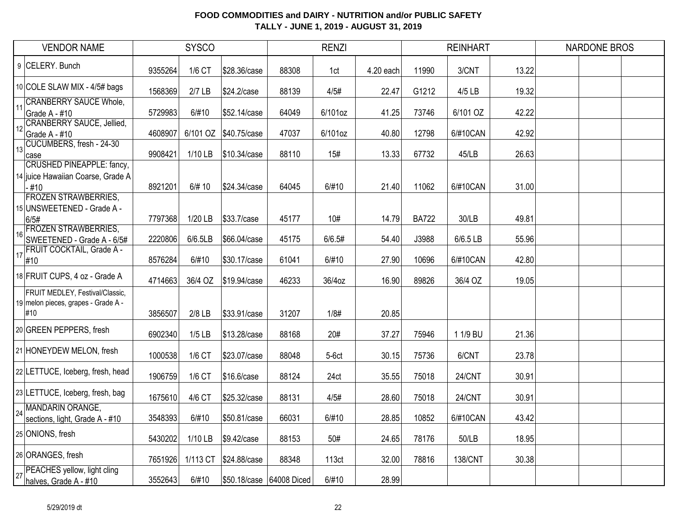|    | <b>VENDOR NAME</b>                                                              |         | <b>SYSCO</b> |                          |       | <b>RENZI</b> |           |              | <b>REINHART</b> |       | <b>NARDONE BROS</b> |  |
|----|---------------------------------------------------------------------------------|---------|--------------|--------------------------|-------|--------------|-----------|--------------|-----------------|-------|---------------------|--|
| 9  | CELERY. Bunch                                                                   | 9355264 | 1/6 CT       | \$28.36/case             | 88308 | 1ct          | 4.20 each | 11990        | 3/CNT           | 13.22 |                     |  |
|    | 10 COLE SLAW MIX - 4/5# bags                                                    | 1568369 | $2/7$ LB     | \$24.2/case              | 88139 | 4/5#         | 22.47     | G1212        | 4/5 LB          | 19.32 |                     |  |
| 11 | <b>CRANBERRY SAUCE Whole,</b><br>Grade A - #10                                  | 5729983 | 6/#10        | \$52.14/case             | 64049 | 6/101oz      | 41.25     | 73746        | 6/101 OZ        | 42.22 |                     |  |
| 12 | <b>CRANBERRY SAUCE, Jellied,</b><br>Grade A - #10                               | 4608907 | 6/101 OZ     | \$40.75/case             | 47037 | 6/101oz      | 40.80     | 12798        | 6/#10CAN        | 42.92 |                     |  |
| 13 | CUCUMBERS, fresh - 24-30<br>case                                                | 9908421 | 1/10 LB      | \$10.34/case             | 88110 | 15#          | 13.33     | 67732        | 45/LB           | 26.63 |                     |  |
|    | <b>CRUSHED PINEAPPLE: fancy,</b><br>14 juice Hawaiian Coarse, Grade A<br>$-#10$ | 8921201 | 6/# 10       | \$24.34/case             | 64045 | 6/#10        | 21.40     | 11062        | 6/#10CAN        | 31.00 |                     |  |
|    | <b>FROZEN STRAWBERRIES,</b><br>15 UNSWEETENED - Grade A -<br>6/5#               | 7797368 | 1/20 LB      | \$33.7/case              | 45177 | 10#          | 14.79     | <b>BA722</b> | 30/LB           | 49.81 |                     |  |
| 16 | <b>FROZEN STRAWBERRIES,</b><br>SWEETENED - Grade A - 6/5#                       | 2220806 | 6/6.5LB      | \$66.04/case             | 45175 | 6/6.5#       | 54.40     | J3988        | 6/6.5 LB        | 55.96 |                     |  |
| 17 | FRUIT COCKTAIL, Grade A -<br>#10                                                | 8576284 | 6/#10        | \$30.17/case             | 61041 | 6/#10        | 27.90     | 10696        | 6/#10CAN        | 42.80 |                     |  |
|    | 18 FRUIT CUPS, 4 oz - Grade A                                                   | 4714663 | 36/4 OZ      | \$19.94/case             | 46233 | 36/4oz       | 16.90     | 89826        | 36/4 OZ         | 19.05 |                     |  |
|    | FRUIT MEDLEY, Festival/Classic,<br>19 melon pieces, grapes - Grade A -<br>#10   | 3856507 | $2/8$ LB     | \$33.91/case             | 31207 | 1/8#         | 20.85     |              |                 |       |                     |  |
|    | 20 GREEN PEPPERS, fresh                                                         | 6902340 | $1/5$ LB     | \$13.28/case             | 88168 | 20#          | 37.27     | 75946        | 1 1/9 BU        | 21.36 |                     |  |
|    | 21 HONEYDEW MELON, fresh                                                        | 1000538 | 1/6 CT       | \$23.07/case             | 88048 | $5-6ct$      | 30.15     | 75736        | 6/CNT           | 23.78 |                     |  |
|    | 22 LETTUCE, Iceberg, fresh, head                                                | 1906759 | 1/6 CT       | \$16.6/case              | 88124 | 24ct         | 35.55     | 75018        | 24/CNT          | 30.91 |                     |  |
|    | 23 LETTUCE, Iceberg, fresh, bag                                                 | 1675610 | 4/6 CT       | \$25.32/case             | 88131 | 4/5#         | 28.60     | 75018        | 24/CNT          | 30.91 |                     |  |
| 24 | MANDARIN ORANGE,<br>sections, light, Grade A - #10                              | 3548393 | 6/#10        | \$50.81/case             | 66031 | 6/#10        | 28.85     | 10852        | 6/#10CAN        | 43.42 |                     |  |
|    | 25 ONIONS, fresh                                                                | 5430202 | 1/10 LB      | \$9.42/case              | 88153 | 50#          | 24.65     | 78176        | 50/LB           | 18.95 |                     |  |
|    | 26 ORANGES, fresh                                                               | 7651926 | 1/113 CT     | \$24.88/case             | 88348 | 113ct        | 32.00     | 78816        | <b>138/CNT</b>  | 30.38 |                     |  |
| 27 | PEACHES yellow, light cling<br>halves, Grade A - #10                            | 3552643 | 6/#10        | \$50.18/case 64008 Diced |       | 6/#10        | 28.99     |              |                 |       |                     |  |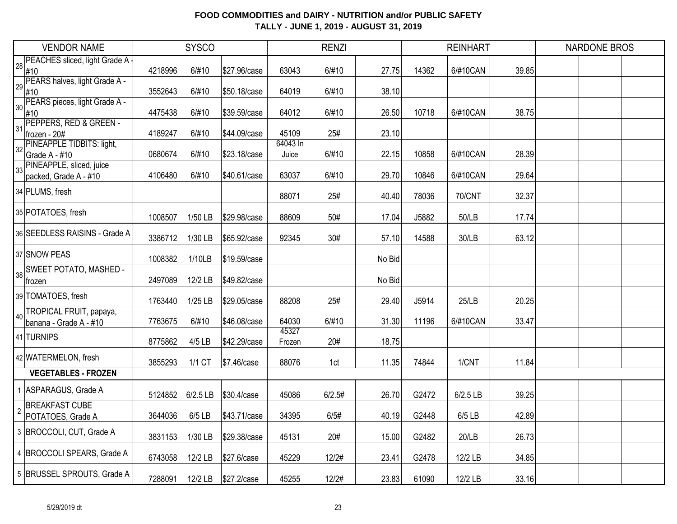|                 | <b>VENDOR NAME</b>                                |         | <b>SYSCO</b> |              |                   | <b>RENZI</b> |        |       | <b>REINHART</b> |       | <b>NARDONE BROS</b> |  |
|-----------------|---------------------------------------------------|---------|--------------|--------------|-------------------|--------------|--------|-------|-----------------|-------|---------------------|--|
| 28 <sub>1</sub> | PEACHES sliced, light Grade A                     |         |              |              |                   |              |        |       |                 |       |                     |  |
|                 | #10<br>PEARS halves, light Grade A -              | 4218996 | 6/#10        | \$27.96/case | 63043             | 6/#10        | 27.75  | 14362 | 6/#10CAN        | 39.85 |                     |  |
| 29              | #10                                               | 3552643 | 6/#10        | \$50.18/case | 64019             | 6/#10        | 38.10  |       |                 |       |                     |  |
| 30              | PEARS pieces, light Grade A -                     | 4475438 | 6/#10        | \$39.59/case | 64012             | 6/#10        | 26.50  | 10718 | 6/#10CAN        | 38.75 |                     |  |
|                 | #10<br>PEPPERS, RED & GREEN -                     |         |              |              |                   |              |        |       |                 |       |                     |  |
| 31              | frozen - 20#                                      | 4189247 | 6/#10        | \$44.09/case | 45109             | 25#          | 23.10  |       |                 |       |                     |  |
| 32              | <b>PINEAPPLE TIDBITS: light,</b><br>Grade A - #10 | 0680674 | 6/#10        | \$23.18/case | 64043 In<br>Juice | 6/#10        | 22.15  | 10858 | 6/#10CAN        | 28.39 |                     |  |
|                 | PINEAPPLE, sliced, juice                          |         |              |              |                   |              |        |       |                 |       |                     |  |
| 33              | packed, Grade A - #10                             | 4106480 | 6/#10        | \$40.61/case | 63037             | 6/#10        | 29.70  | 10846 | 6/#10CAN        | 29.64 |                     |  |
|                 | 34 PLUMS, fresh                                   |         |              |              | 88071             | 25#          | 40.40  | 78036 | <b>70/CNT</b>   | 32.37 |                     |  |
|                 | 35 POTATOES, fresh                                | 1008507 | 1/50 LB      | \$29.98/case | 88609             | 50#          | 17.04  | J5882 | 50/LB           | 17.74 |                     |  |
|                 | 36 SEEDLESS RAISINS - Grade A                     | 3386712 | 1/30 LB      | \$65.92/case | 92345             | 30#          | 57.10  | 14588 | 30/LB           | 63.12 |                     |  |
|                 | 37 SNOW PEAS                                      | 1008382 | 1/10LB       | \$19.59/case |                   |              | No Bid |       |                 |       |                     |  |
| 38              | <b>SWEET POTATO, MASHED -</b>                     |         |              |              |                   |              |        |       |                 |       |                     |  |
|                 | frozen                                            | 2497089 | 12/2 LB      | \$49.82/case |                   |              | No Bid |       |                 |       |                     |  |
|                 | 39 TOMATOES, fresh                                | 1763440 | 1/25 LB      | \$29.05/case | 88208             | 25#          | 29.40  | J5914 | <b>25/LB</b>    | 20.25 |                     |  |
| 40              | TROPICAL FRUIT, papaya,                           |         |              |              |                   |              |        |       |                 |       |                     |  |
|                 | banana - Grade A - #10                            | 7763675 | 6/#10        | \$46.08/case | 64030<br>45327    | 6/#10        | 31.30  | 11196 | 6/#10CAN        | 33.47 |                     |  |
|                 | 41 TURNIPS                                        | 8775862 | 4/5 LB       | \$42.29/case | Frozen            | 20#          | 18.75  |       |                 |       |                     |  |
|                 | 42 WATERMELON, fresh                              | 3855293 | 1/1 CT       | \$7.46/case  | 88076             | 1ct          | 11.35  | 74844 | 1/CNT           | 11.84 |                     |  |
|                 | <b>VEGETABLES - FROZEN</b>                        |         |              |              |                   |              |        |       |                 |       |                     |  |
|                 | 1 ASPARAGUS, Grade A                              | 5124852 | 6/2.5 LB     | \$30.4/case  | 45086             | 6/2.5#       | 26.70  | G2472 | 6/2.5 LB        | 39.25 |                     |  |
|                 | <b>BREAKFAST CUBE</b><br>POTATOES, Grade A        | 3644036 | $6/5$ LB     | \$43.71/case | 34395             | 6/5#         | 40.19  | G2448 | 6/5 LB          | 42.89 |                     |  |
|                 | 3 BROCCOLI, CUT, Grade A                          | 3831153 | 1/30 LB      | \$29.38/case | 45131             | 20#          | 15.00  | G2482 | 20/LB           | 26.73 |                     |  |
|                 | 4 BROCCOLI SPEARS, Grade A                        | 6743058 | 12/2 LB      | \$27.6/case  | 45229             | 12/2#        | 23.41  | G2478 | 12/2 LB         | 34.85 |                     |  |
|                 | 5 BRUSSEL SPROUTS, Grade A                        | 7288091 | 12/2 LB      | \$27.2/case  | 45255             | 12/2#        | 23.83  | 61090 | 12/2 LB         | 33.16 |                     |  |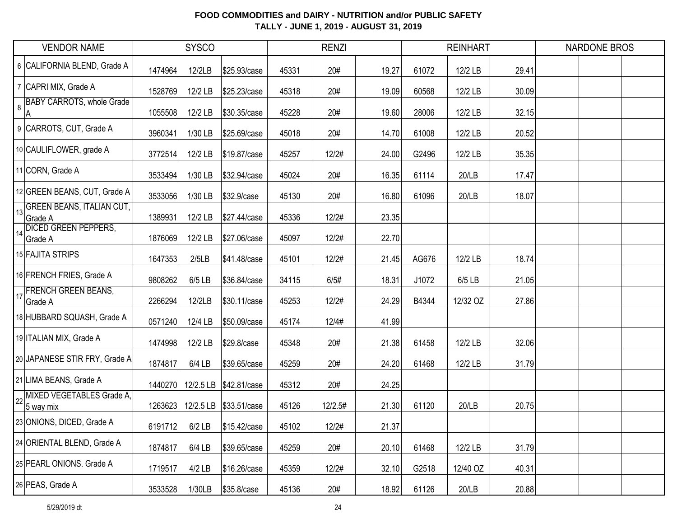|         | <b>VENDOR NAME</b>                          |         | <b>SYSCO</b> |                         |       | <b>RENZI</b> |       |       | <b>REINHART</b> |       | <b>NARDONE BROS</b> |  |
|---------|---------------------------------------------|---------|--------------|-------------------------|-------|--------------|-------|-------|-----------------|-------|---------------------|--|
|         | 6 CALIFORNIA BLEND, Grade A                 | 1474964 | 12/2LB       | \$25.93/case            | 45331 | 20#          | 19.27 | 61072 | 12/2 LB         | 29.41 |                     |  |
|         | 7 CAPRI MIX, Grade A                        | 1528769 | 12/2 LB      | \$25.23/case            | 45318 | 20#          | 19.09 | 60568 | 12/2 LB         | 30.09 |                     |  |
| $\bf 8$ | <b>BABY CARROTS, whole Grade</b><br> A      | 1055508 | 12/2 LB      | \$30.35/case            | 45228 | 20#          | 19.60 | 28006 | 12/2 LB         | 32.15 |                     |  |
|         | 9 CARROTS, CUT, Grade A                     | 3960341 | 1/30 LB      | \$25.69/case            | 45018 | 20#          | 14.70 | 61008 | 12/2 LB         | 20.52 |                     |  |
|         | 10 CAULIFLOWER, grade A                     | 3772514 | 12/2 LB      | \$19.87/case            | 45257 | 12/2#        | 24.00 | G2496 | 12/2 LB         | 35.35 |                     |  |
|         | 11 CORN, Grade A                            | 3533494 | 1/30 LB      | \$32.94/case            | 45024 | 20#          | 16.35 | 61114 | 20/LB           | 17.47 |                     |  |
|         | 12 GREEN BEANS, CUT, Grade A                | 3533056 | 1/30 LB      | \$32.9/case             | 45130 | 20#          | 16.80 | 61096 | 20/LB           | 18.07 |                     |  |
| 13      | <b>GREEN BEANS, ITALIAN CUT,</b><br>Grade A | 1389931 | 12/2 LB      | \$27.44/case            | 45336 | 12/2#        | 23.35 |       |                 |       |                     |  |
| 14      | <b>DICED GREEN PEPPERS,</b><br>Grade A      | 1876069 | 12/2 LB      | \$27.06/case            | 45097 | 12/2#        | 22.70 |       |                 |       |                     |  |
|         | 15 FAJITA STRIPS                            | 1647353 | 2/5LB        | \$41.48/case            | 45101 | 12/2#        | 21.45 | AG676 | 12/2 LB         | 18.74 |                     |  |
|         | 16 FRENCH FRIES, Grade A                    | 9808262 | $6/5$ LB     | \$36.84/case            | 34115 | 6/5#         | 18.31 | J1072 | 6/5 LB          | 21.05 |                     |  |
| 17      | <b>FRENCH GREEN BEANS,</b><br>Grade A       | 2266294 | 12/2LB       | \$30.11/case            | 45253 | 12/2#        | 24.29 | B4344 | 12/32 OZ        | 27.86 |                     |  |
|         | 18 HUBBARD SQUASH, Grade A                  | 0571240 | 12/4 LB      | \$50.09/case            | 45174 | 12/4#        | 41.99 |       |                 |       |                     |  |
|         | 19 ITALIAN MIX, Grade A                     | 1474998 | 12/2 LB      | \$29.8/case             | 45348 | 20#          | 21.38 | 61458 | 12/2 LB         | 32.06 |                     |  |
|         | 20 JAPANESE STIR FRY, Grade A               | 1874817 | 6/4 LB       | \$39.65/case            | 45259 | 20#          | 24.20 | 61468 | 12/2 LB         | 31.79 |                     |  |
|         | 21 LIMA BEANS, Grade A                      | 1440270 |              | 12/2.5 LB \\$42.81/case | 45312 | 20#          | 24.25 |       |                 |       |                     |  |
| 22      | MIXED VEGETABLES Grade A,<br>5 way mix      | 1263623 |              | 12/2.5 LB \\$33.51/case | 45126 | 12/2.5#      | 21.30 | 61120 | 20/LB           | 20.75 |                     |  |
|         | 23 ONIONS, DICED, Grade A                   | 6191712 | $6/2$ LB     | \$15.42/case            | 45102 | 12/2#        | 21.37 |       |                 |       |                     |  |
|         | 24 ORIENTAL BLEND, Grade A                  | 1874817 | 6/4 LB       | \$39.65/case            | 45259 | 20#          | 20.10 | 61468 | 12/2 LB         | 31.79 |                     |  |
|         | 25 PEARL ONIONS. Grade A                    | 1719517 | $4/2$ LB     | \$16.26/case            | 45359 | 12/2#        | 32.10 | G2518 | 12/40 OZ        | 40.31 |                     |  |
|         | 26 PEAS, Grade A                            | 3533528 | 1/30LB       | \$35.8/case             | 45136 | 20#          | 18.92 | 61126 | 20/LB           | 20.88 |                     |  |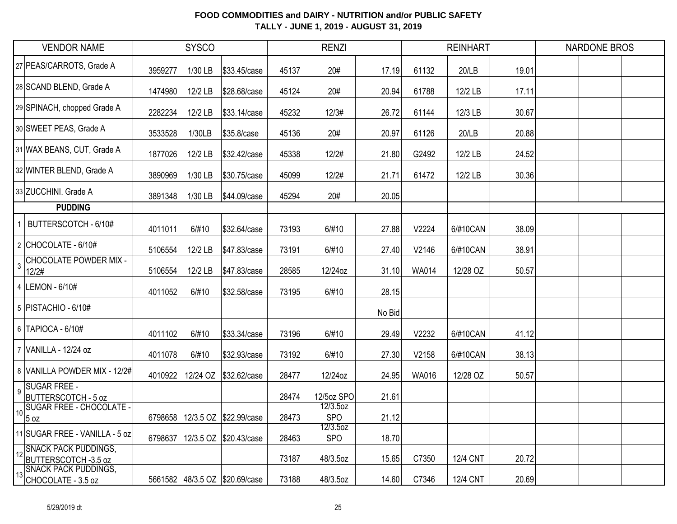| <b>VENDOR NAME</b>                                           | <b>SYSCO</b> |          |                                | <b>RENZI</b> |                        |        |              | <b>REINHART</b> |       | <b>NARDONE BROS</b> |  |  |
|--------------------------------------------------------------|--------------|----------|--------------------------------|--------------|------------------------|--------|--------------|-----------------|-------|---------------------|--|--|
| 27 PEAS/CARROTS, Grade A                                     | 3959277      | 1/30 LB  | \$33.45/case                   | 45137        | 20#                    | 17.19  | 61132        | 20/LB           | 19.01 |                     |  |  |
| 28 SCAND BLEND, Grade A                                      | 1474980      | 12/2 LB  | \$28.68/case                   | 45124        | 20#                    | 20.94  | 61788        | 12/2 LB         | 17.11 |                     |  |  |
| 29 SPINACH, chopped Grade A                                  | 2282234      | 12/2 LB  | \$33.14/case                   | 45232        | 12/3#                  | 26.72  | 61144        | 12/3 LB         | 30.67 |                     |  |  |
| 30 SWEET PEAS, Grade A                                       | 3533528      | 1/30LB   | \$35.8/case                    | 45136        | 20#                    | 20.97  | 61126        | 20/LB           | 20.88 |                     |  |  |
| 31 WAX BEANS, CUT, Grade A                                   | 1877026      | 12/2 LB  | \$32.42/case                   | 45338        | 12/2#                  | 21.80  | G2492        | 12/2 LB         | 24.52 |                     |  |  |
| 32 WINTER BLEND, Grade A                                     | 3890969      | 1/30 LB  | \$30.75/case                   | 45099        | 12/2#                  | 21.71  | 61472        | 12/2 LB         | 30.36 |                     |  |  |
| 33 ZUCCHINI. Grade A                                         | 3891348      | 1/30 LB  | \$44.09/case                   | 45294        | 20#                    | 20.05  |              |                 |       |                     |  |  |
| <b>PUDDING</b>                                               |              |          |                                |              |                        |        |              |                 |       |                     |  |  |
| BUTTERSCOTCH - 6/10#                                         | 4011011      | 6/#10    | \$32.64/case                   | 73193        | 6/#10                  | 27.88  | V2224        | 6/#10CAN        | 38.09 |                     |  |  |
| 2 CHOCOLATE - 6/10#                                          | 5106554      | 12/2 LB  | \$47.83/case                   | 73191        | 6/#10                  | 27.40  | V2146        | 6/#10CAN        | 38.91 |                     |  |  |
| <b>CHOCOLATE POWDER MIX -</b><br>$\overline{3}$<br>12/2#     | 5106554      | 12/2 LB  | \$47.83/case                   | 28585        | 12/24oz                | 31.10  | <b>WA014</b> | 12/28 OZ        | 50.57 |                     |  |  |
| 4 LEMON - 6/10#                                              | 4011052      | 6/#10    | \$32.58/case                   | 73195        | 6/#10                  | 28.15  |              |                 |       |                     |  |  |
| 5   PISTACHIO - 6/10#                                        |              |          |                                |              |                        | No Bid |              |                 |       |                     |  |  |
| 6 TAPIOCA - 6/10#                                            | 4011102      | 6/#10    | \$33.34/case                   | 73196        | 6/#10                  | 29.49  | V2232        | 6/#10CAN        | 41.12 |                     |  |  |
| 7 VANILLA - 12/24 oz                                         | 4011078      | 6/#10    | \$32.93/case                   | 73192        | 6/#10                  | 27.30  | V2158        | 6/#10CAN        | 38.13 |                     |  |  |
| 8 VANILLA POWDER MIX - 12/2#                                 | 4010922      | 12/24 OZ | \$32.62/case                   | 28477        | 12/24oz                | 24.95  | WA016        | 12/28 OZ        | 50.57 |                     |  |  |
| <b>SUGAR FREE -</b><br>$\overline{9}$<br>BUTTERSCOTCH - 5 oz |              |          |                                | 28474        | 12/5oz SPO             | 21.61  |              |                 |       |                     |  |  |
| <b>SUGAR FREE - CHOCOLATE -</b><br>10 <sup>1</sup><br>5 oz   | 6798658      |          | 12/3.5 OZ \$22.99/case         | 28473        | 12/3.5oz<br><b>SPO</b> | 21.12  |              |                 |       |                     |  |  |
| 11 SUGAR FREE - VANILLA - 5 oz                               | 6798637      |          | 12/3.5 OZ \$20.43/case         | 28463        | 12/3.5oz<br><b>SPO</b> | 18.70  |              |                 |       |                     |  |  |
| 12 SNACK PACK PUDDINGS,<br>BUTTERSCOTCH -3.5 oz              |              |          |                                | 73187        | 48/3.5oz               | 15.65  | C7350        | <b>12/4 CNT</b> | 20.72 |                     |  |  |
| <b>SNACK PACK PUDDINGS,</b><br>13<br>CHOCOLATE - 3.5 oz      |              |          | 5661582 48/3.5 OZ \$20.69/case | 73188        | 48/3.5oz               | 14.60  | C7346        | 12/4 CNT        | 20.69 |                     |  |  |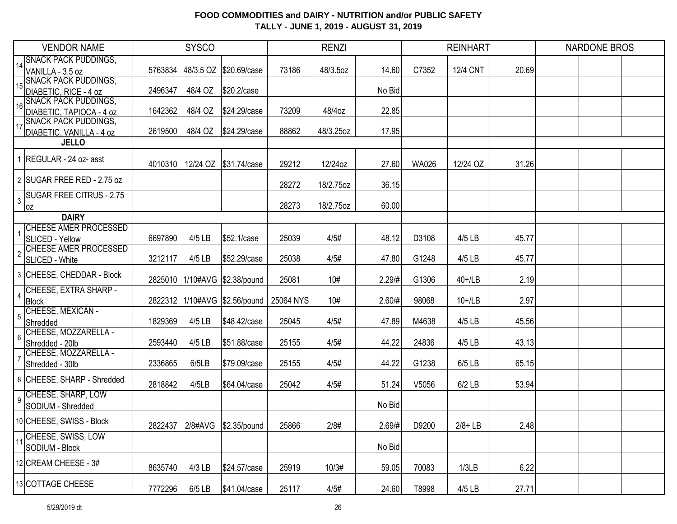|                | <b>VENDOR NAME</b>                                  | <b>SYSCO</b> |          |                               | <b>RENZI</b> |           |        |              | <b>REINHART</b> |       | <b>NARDONE BROS</b> |  |  |
|----------------|-----------------------------------------------------|--------------|----------|-------------------------------|--------------|-----------|--------|--------------|-----------------|-------|---------------------|--|--|
|                | 14 SNACK PACK PUDDINGS,                             |              |          |                               |              |           |        |              |                 |       |                     |  |  |
|                | VANILLA - 3.5 oz<br><b>SNACK PACK PUDDINGS,</b>     | 5763834      |          | 48/3.5 OZ \$20.69/case        | 73186        | 48/3.5oz  | 14.60  | C7352        | <b>12/4 CNT</b> | 20.69 |                     |  |  |
| 15             | DIABETIC, RICE - 4 oz                               | 2496347      | 48/4 OZ  | \$20.2/case                   |              |           | No Bid |              |                 |       |                     |  |  |
|                | <b>SNACK PACK PUDDINGS,</b>                         |              |          |                               |              |           |        |              |                 |       |                     |  |  |
| 16             | DIABETIC, TAPIOCA - 4 oz                            | 1642362      | 48/4 OZ  | \$24.29/case                  | 73209        | 48/4oz    | 22.85  |              |                 |       |                     |  |  |
|                | 17 SNACK PÁCK PUDDINGS,<br>DIABETIC, VANILLA - 4 oz | 2619500      | 48/4 OZ  | \$24.29/case                  | 88862        | 48/3.25oz | 17.95  |              |                 |       |                     |  |  |
|                | <b>JELLO</b>                                        |              |          |                               |              |           |        |              |                 |       |                     |  |  |
|                |                                                     |              |          |                               |              |           |        |              |                 |       |                     |  |  |
|                | 1 REGULAR - 24 oz- asst                             | 4010310      |          | 12/24 OZ \\$31.74/case        | 29212        | 12/24oz   | 27.60  | <b>WA026</b> | 12/24 OZ        | 31.26 |                     |  |  |
|                | 2 SUGAR FREE RED - 2.75 oz                          |              |          |                               |              |           |        |              |                 |       |                     |  |  |
|                | <b>SUGAR FREE CITRUS - 2.75</b>                     |              |          |                               | 28272        | 18/2.75oz | 36.15  |              |                 |       |                     |  |  |
| 3              | oz                                                  |              |          |                               | 28273        | 18/2.75oz | 60.00  |              |                 |       |                     |  |  |
|                | <b>DAIRY</b>                                        |              |          |                               |              |           |        |              |                 |       |                     |  |  |
|                | <b>CHEESE AMER PROCESSED</b>                        |              |          |                               |              |           |        |              |                 |       |                     |  |  |
|                | SLICED - Yellow                                     | 6697890      | 4/5 LB   | \$52.1/case                   | 25039        | 4/5#      | 48.12  | D3108        | 4/5 LB          | 45.77 |                     |  |  |
| $\overline{2}$ | <b>CHEESE AMER PROCESSED</b>                        |              |          |                               |              |           |        |              |                 |       |                     |  |  |
|                | SLICED - White                                      | 3212117      | 4/5 LB   | \$52.29/case                  | 25038        | 4/5#      | 47.80  | G1248        | 4/5 LB          | 45.77 |                     |  |  |
|                | 3 CHEESE, CHEDDAR - Block                           |              |          | 2825010 1/10#AVG \$2.38/pound | 25081        | 10#       | 2.29/H | G1306        | $40+1$ LB       | 2.19  |                     |  |  |
| 4              | CHEESE, EXTRA SHARP -                               |              |          |                               |              |           |        |              |                 |       |                     |  |  |
|                | Block                                               |              |          | 2822312 1/10#AVG \$2.56/pound | 25064 NYS    | 10#       | 2.60/# | 98068        | $10+1$ LB       | 2.97  |                     |  |  |
|                | CHEESE, MEXICAN -                                   |              |          |                               |              |           |        |              |                 |       |                     |  |  |
|                | Shredded<br>CHEESE, MOZZARELLA -                    | 1829369      | $4/5$ LB | \$48.42/case                  | 25045        | 4/5#      | 47.89  | M4638        | 4/5 LB          | 45.56 |                     |  |  |
| 6              | Shredded - 20lb                                     | 2593440      | 4/5 LB   | \$51.88/case                  | 25155        | 4/5#      | 44.22  | 24836        | 4/5 LB          | 43.13 |                     |  |  |
|                | CHEESE, MOZZARELLA -                                |              |          |                               |              |           |        |              |                 |       |                     |  |  |
|                | Shredded - 30lb                                     | 2336865      | 6/5LB    | \$79.09/case                  | 25155        | 4/5#      | 44.22  | G1238        | 6/5 LB          | 65.15 |                     |  |  |
|                | 8 CHEESE, SHARP - Shredded                          | 2818842      | 4/5LB    | \$64.04/case                  | 25042        | 4/5#      | 51.24  | V5056        | $6/2$ LB        | 53.94 |                     |  |  |
| 9              | CHEESE, SHARP, LOW                                  |              |          |                               |              |           |        |              |                 |       |                     |  |  |
|                | SODIUM - Shredded                                   |              |          |                               |              |           | No Bid |              |                 |       |                     |  |  |
|                | 10 CHEESE, SWISS - Block                            |              |          | 2822437 2/8#AVG \$2.35/pound  | 25866        | 2/8#      | 2.69/H | D9200        | $2/8 + LB$      | 2.48  |                     |  |  |
|                | CHEESE, SWISS, LOW                                  |              |          |                               |              |           |        |              |                 |       |                     |  |  |
|                | SODIUM - Block                                      |              |          |                               |              |           | No Bid |              |                 |       |                     |  |  |
|                | 12 CREAM CHEESE - 3#                                |              |          | \$24.57/case                  |              |           |        |              |                 |       |                     |  |  |
|                |                                                     | 8635740      | $4/3$ LB |                               | 25919        | 10/3#     | 59.05  | 70083        | 1/3LB           | 6.22  |                     |  |  |
|                | 13 COTTAGE CHEESE                                   | 7772296      | $6/5$ LB | \$41.04/case                  | 25117        | 4/5#      | 24.60  | T8998        | 4/5 LB          | 27.71 |                     |  |  |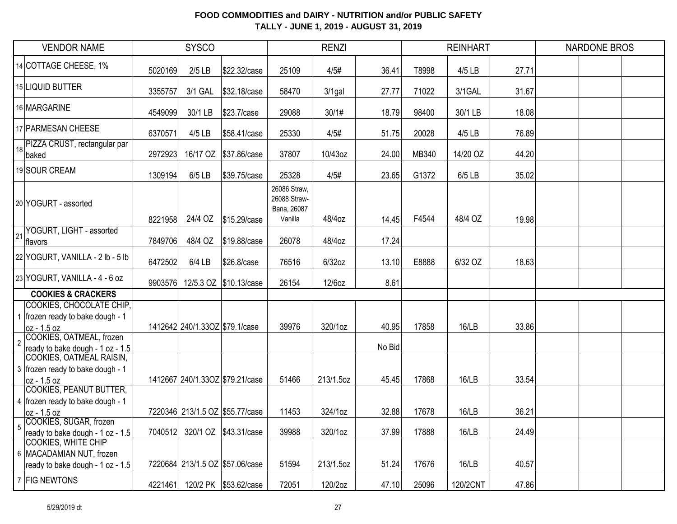|                | <b>SYSCO</b><br><b>VENDOR NAME</b>                                                           |         | <b>RENZI</b>                   |                                 |                                                        |           | <b>REINHART</b> |       | <b>NARDONE BROS</b> |       |  |  |  |
|----------------|----------------------------------------------------------------------------------------------|---------|--------------------------------|---------------------------------|--------------------------------------------------------|-----------|-----------------|-------|---------------------|-------|--|--|--|
|                | 14 COTTAGE CHEESE, 1%                                                                        | 5020169 | $2/5$ LB                       | \$22.32/case                    | 25109                                                  | 4/5#      | 36.41           | T8998 | 4/5 LB              | 27.71 |  |  |  |
|                | 15 LIQUID BUTTER                                                                             | 3355757 | 3/1 GAL                        | \$32.18/case                    | 58470                                                  | $3/1$ gal | 27.77           | 71022 | 3/1GAL              | 31.67 |  |  |  |
|                | 16 MARGARINE                                                                                 | 4549099 | 30/1 LB                        | \$23.7/case                     | 29088                                                  | 30/1#     | 18.79           | 98400 | 30/1 LB             | 18.08 |  |  |  |
|                | 17 PARMESAN CHEESE                                                                           | 6370571 | $4/5$ LB                       | \$58.41/case                    | 25330                                                  | 4/5#      | 51.75           | 20028 | 4/5 LB              | 76.89 |  |  |  |
|                | 18 PIZZA CRUST, rectangular par<br>baked                                                     | 2972923 |                                |                                 | 37807                                                  | 10/43oz   | 24.00           | MB340 | 14/20 OZ            | 44.20 |  |  |  |
|                | 19 SOUR CREAM                                                                                | 1309194 | $6/5$ LB                       | \$39.75/case                    | 25328                                                  | 4/5#      | 23.65           | G1372 | 6/5 LB              | 35.02 |  |  |  |
|                | 20 YOGURT - assorted                                                                         | 8221958 | 24/4 OZ                        | \$15.29/case                    | 26086 Straw,<br>26088 Straw-<br>Bana, 26087<br>Vanilla | 48/4oz    | 14.45           | F4544 | 48/4 OZ             | 19.98 |  |  |  |
| 21             | YOGURT, LIGHT - assorted<br>flavors                                                          | 7849706 | 48/4 OZ                        | \$19.88/case                    | 26078                                                  | 48/4oz    | 17.24           |       |                     |       |  |  |  |
|                | 22 YOGURT, VANILLA - 2 lb - 5 lb                                                             | 6472502 | $6/4$ LB                       | \$26.8/case                     | 76516                                                  | $6/32$ oz | 13.10           | E8888 | 6/32 OZ             | 18.63 |  |  |  |
|                | 23 YOGURT, VANILLA - 4 - 6 oz                                                                | 9903576 |                                | 12/5.3 OZ \$10.13/case          | 26154                                                  | 12/6oz    | 8.61            |       |                     |       |  |  |  |
|                | <b>COOKIES &amp; CRACKERS</b>                                                                |         |                                |                                 |                                                        |           |                 |       |                     |       |  |  |  |
|                | COOKIES, CHOCOLATE CHIP,<br>1 frozen ready to bake dough - 1<br>loz - 1.5 oz                 |         | 1412642 240/1.33OZ \$79.1/case |                                 | 39976                                                  | 320/1oz   | 40.95           | 17858 | 16/LB               | 33.86 |  |  |  |
| $\overline{2}$ | COOKIES, OATMEAL, frozen<br>ready to bake dough - 1 oz - 1.5                                 |         |                                |                                 |                                                        |           | No Bid          |       |                     |       |  |  |  |
|                | COOKIES, OATMEAL RAISIN,<br>3 frozen ready to bake dough - 1<br>loz - 1.5 oz                 |         |                                | 1412667 240/1.33OZ \$79.21/case | 51466                                                  | 213/1.5oz | 45.45           | 17868 | 16/LB               | 33.54 |  |  |  |
|                | COOKIES, PEANUT BUTTER,<br>4   frozen ready to bake dough - 1<br>oz - 1.5 oz                 |         |                                | 7220346 213/1.5 OZ \$55.77/case | 11453                                                  | 324/1oz   | 32.88           | 17678 | 16/LB               | 36.21 |  |  |  |
|                | COOKIES, SUGAR, frozen<br>ready to bake dough - 1 oz - 1.5                                   |         |                                | 7040512 320/1 OZ \$43.31/case   | 39988                                                  | 320/1oz   | 37.99           | 17888 | 16/LB               | 24.49 |  |  |  |
|                | <b>COOKIES, WHITE CHIP</b><br>6   MACADAMIAN NUT, frozen<br>ready to bake dough - 1 oz - 1.5 |         |                                | 7220684 213/1.5 OZ \$57.06/case | 51594                                                  | 213/1.5oz | 51.24           | 17676 | 16/LB               | 40.57 |  |  |  |
|                | 7 FIG NEWTONS                                                                                | 4221461 |                                | 120/2 PK \$53.62/case           | 72051                                                  | 120/2oz   | 47.10           | 25096 | 120/2CNT            | 47.86 |  |  |  |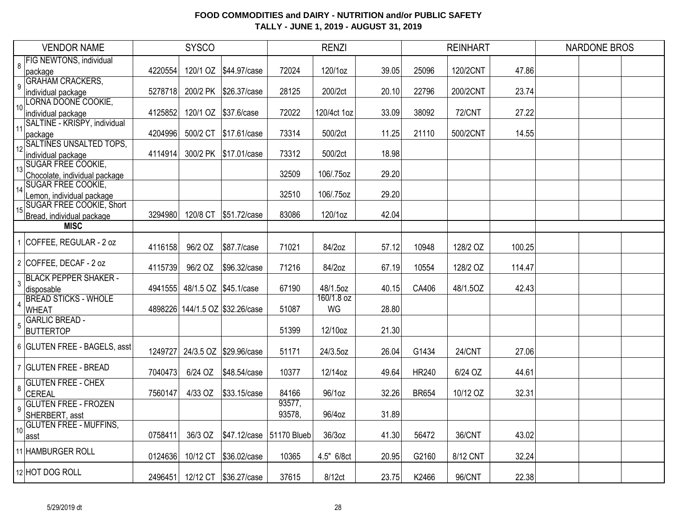| <b>VENDOR NAME</b> |                                       | <b>SYSCO</b> |                       |                                 | <b>RENZI</b> |                        |       |              | <b>REINHART</b> |        | <b>NARDONE BROS</b> |  |  |
|--------------------|---------------------------------------|--------------|-----------------------|---------------------------------|--------------|------------------------|-------|--------------|-----------------|--------|---------------------|--|--|
| 8                  | <b>FIG NEWTONS, individual</b>        |              |                       |                                 |              |                        |       |              |                 |        |                     |  |  |
|                    | package                               | 4220554      |                       | 120/1 OZ   \$44.97/case         | 72024        | 120/1oz                | 39.05 | 25096        | 120/2CNT        | 47.86  |                     |  |  |
| 9                  | <b>GRAHAM CRACKERS,</b>               |              |                       |                                 |              |                        |       |              |                 |        |                     |  |  |
|                    | individual package                    | 5278718      |                       | 200/2 PK \$26.37/case           | 28125        | 200/2ct                | 20.10 | 22796        | 200/2CNT        | 23.74  |                     |  |  |
| 10                 | LORNA DOONE COOKIE,                   |              |                       |                                 |              |                        |       |              |                 |        |                     |  |  |
|                    | individual package                    | 4125852      |                       | 120/1 OZ \$37.6/case            | 72022        | 120/4ct 1oz            | 33.09 | 38092        | <b>72/CNT</b>   | 27.22  |                     |  |  |
| 11                 | SALTINE - KRISPY, individual          | 4204996      |                       |                                 | 73314        | 500/2ct                |       | 21110        | 500/2CNT        |        |                     |  |  |
|                    | package<br>12 SALTINES UNSALTED TOPS, |              | 500/2 CT              | \$17.61/case                    |              |                        | 11.25 |              |                 | 14.55  |                     |  |  |
|                    | individual package                    | 4114914      |                       | 300/2 PK \$17.01/case           | 73312        | 500/2ct                | 18.98 |              |                 |        |                     |  |  |
|                    | 13 SUGAR FREE COOKIE,                 |              |                       |                                 |              |                        |       |              |                 |        |                     |  |  |
|                    | Chocolate, individual package         |              |                       |                                 | 32509        | 106/.75oz              | 29.20 |              |                 |        |                     |  |  |
|                    | <b>SUGAR FREE COOKIE,</b>             |              |                       |                                 |              |                        |       |              |                 |        |                     |  |  |
| 14                 | emon, individual package              |              |                       |                                 | 32510        | 106/.75oz              | 29.20 |              |                 |        |                     |  |  |
| 15 <sup>15</sup>   | <b>SUGAR FREE COOKIE, Short</b>       |              |                       |                                 |              |                        |       |              |                 |        |                     |  |  |
|                    | Bread, individual package             | 3294980      |                       | 120/8 CT \$51.72/case           | 83086        | 120/1oz                | 42.04 |              |                 |        |                     |  |  |
|                    | <b>MISC</b>                           |              |                       |                                 |              |                        |       |              |                 |        |                     |  |  |
|                    | 1 COFFEE, REGULAR - 2 oz              |              |                       |                                 |              |                        |       |              |                 |        |                     |  |  |
|                    |                                       | 4116158      | 96/2 OZ               | \$87.7/case                     | 71021        | 84/2oz                 | 57.12 | 10948        | 128/2 OZ        | 100.25 |                     |  |  |
|                    | 2 COFFEE, DECAF - 2 oz                |              |                       |                                 |              |                        |       |              |                 |        |                     |  |  |
|                    |                                       | 4115739      | 96/2 OZ               | \$96.32/case                    | 71216        | 84/2oz                 | 67.19 | 10554        | 128/2 OZ        | 114.47 |                     |  |  |
| 3                  | <b>BLACK PEPPER SHAKER -</b>          |              |                       |                                 |              |                        |       |              |                 |        |                     |  |  |
|                    | disposable                            | 4941555      | 48/1.5 OZ \$45.1/case |                                 | 67190        | 48/1.5oz<br>160/1.8 oz | 40.15 | CA406        | 48/1.5OZ        | 42.43  |                     |  |  |
| 4                  | <b>BREAD STICKS - WHOLE</b>           |              |                       |                                 |              |                        |       |              |                 |        |                     |  |  |
|                    | <b>WHEAT</b><br><b>GARLIC BREAD -</b> |              |                       | 4898226 144/1.5 OZ \$32.26/case | 51087        | WG                     | 28.80 |              |                 |        |                     |  |  |
| 5                  |                                       |              |                       |                                 | 51399        | 12/10oz                | 21.30 |              |                 |        |                     |  |  |
|                    | <b>BUTTERTOP</b>                      |              |                       |                                 |              |                        |       |              |                 |        |                     |  |  |
|                    | 6 GLUTEN FREE - BAGELS, asst          | 1249727      |                       | 24/3.5 OZ \$29.96/case          | 51171        | 24/3.5oz               | 26.04 | G1434        | 24/CNT          | 27.06  |                     |  |  |
|                    |                                       |              |                       |                                 |              |                        |       |              |                 |        |                     |  |  |
|                    | 7 GLUTEN FREE - BREAD                 | 7040473      | 6/24 OZ               | \$48.54/case                    | 10377        | 12/14oz                | 49.64 | <b>HR240</b> | 6/24 OZ         | 44.61  |                     |  |  |
|                    | <b>GLUTEN FREE - CHEX</b>             |              |                       |                                 |              |                        |       |              |                 |        |                     |  |  |
| 8                  | CEREAL                                | 7560147      | 4/33 OZ               | \$33.15/case                    | 84166        | 96/1oz                 | 32.26 | <b>BR654</b> | 10/12 OZ        | 32.31  |                     |  |  |
| 9                  | <b>GLUTEN FREE - FROZEN</b>           |              |                       |                                 | 93577,       |                        |       |              |                 |        |                     |  |  |
|                    | SHERBERT, asst                        |              |                       |                                 | 93578,       | 96/4oz                 | 31.89 |              |                 |        |                     |  |  |
| 10 <sup>1</sup>    | <b>GLUTEN FREE - MUFFINS,</b>         |              |                       |                                 |              |                        |       |              |                 |        |                     |  |  |
|                    | asst                                  | 0758411      | 36/3 OZ               | \$47.12/case                    | 51170 Blueb  | 36/3oz                 | 41.30 | 56472        | 36/CNT          | 43.02  |                     |  |  |
|                    | 11 HAMBURGER ROLL                     |              |                       |                                 |              |                        |       |              |                 |        |                     |  |  |
|                    |                                       | 0124636      | 10/12 CT              | \$36.02/case                    | 10365        | 4.5" 6/8ct             | 20.95 | G2160        | 8/12 CNT        | 32.24  |                     |  |  |
|                    | 12 HOT DOG ROLL                       |              |                       |                                 |              |                        |       |              |                 |        |                     |  |  |
|                    |                                       | 2496451      |                       | 12/12 CT \$36.27/case           | 37615        | 8/12ct                 | 23.75 | K2466        | 96/CNT          | 22.38  |                     |  |  |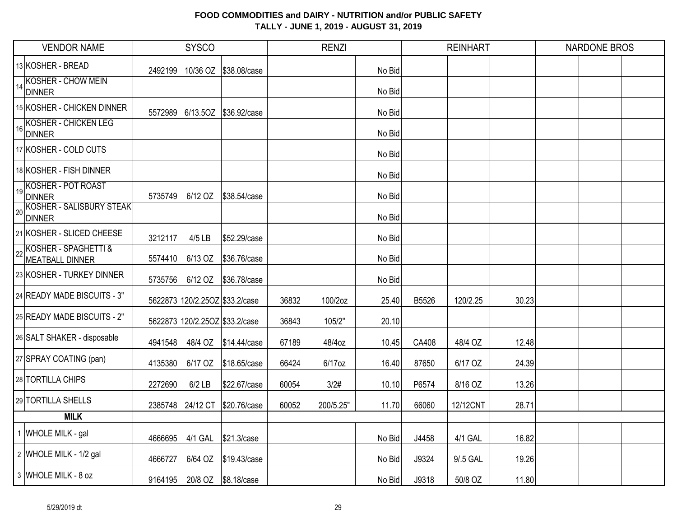| <b>VENDOR NAME</b>                                  | <b>SYSCO</b> |                                |                       | <b>RENZI</b> |           |        | <b>REINHART</b> |          |       | <b>NARDONE BROS</b> |  |  |
|-----------------------------------------------------|--------------|--------------------------------|-----------------------|--------------|-----------|--------|-----------------|----------|-------|---------------------|--|--|
| 13 KOSHER - BREAD                                   | 2492199      |                                | 10/36 OZ \$38.08/case |              |           | No Bid |                 |          |       |                     |  |  |
| 14 KOSHER - CHOW MEIN<br><b>DINNER</b>              |              |                                |                       |              |           | No Bid |                 |          |       |                     |  |  |
| 15 KOSHER - CHICKEN DINNER                          | 5572989      |                                | 6/13.5OZ \$36.92/case |              |           | No Bid |                 |          |       |                     |  |  |
| KOSHER - CHICKEN LEG<br><b>DINNER</b>               |              |                                |                       |              |           | No Bid |                 |          |       |                     |  |  |
| 17 KOSHER - COLD CUTS                               |              |                                |                       |              |           | No Bid |                 |          |       |                     |  |  |
| 18 KOSHER - FISH DINNER                             |              |                                |                       |              |           | No Bid |                 |          |       |                     |  |  |
| 19 KOSHER - POT ROAST<br>DINNER                     | 5735749      | 6/12 OZ                        | \$38.54/case          |              |           | No Bid |                 |          |       |                     |  |  |
| <b>ZO KOSHER - SALISBURY STEAK</b><br><b>DINNER</b> |              |                                |                       |              |           | No Bid |                 |          |       |                     |  |  |
| 21 KOSHER - SLICED CHEESE                           | 3212117      | $4/5$ LB                       | \$52.29/case          |              |           | No Bid |                 |          |       |                     |  |  |
| KOSHER - SPAGHETTI &<br>MEATBALL DINNER             | 5574410      | 6/13 OZ                        | \$36.76/case          |              |           | No Bid |                 |          |       |                     |  |  |
| 23 KOSHER - TURKEY DINNER                           | 5735756      | 6/12 OZ                        | \$36.78/case          |              |           | No Bid |                 |          |       |                     |  |  |
| 24 READY MADE BISCUITS - 3"                         |              | 5622873 120/2.25OZ \$33.2/case |                       | 36832        | 100/2oz   | 25.40  | B5526           | 120/2.25 | 30.23 |                     |  |  |
| 25 READY MADE BISCUITS - 2"                         |              | 5622873 120/2.25OZ \$33.2/case |                       | 36843        | 105/2"    | 20.10  |                 |          |       |                     |  |  |
| 26 SALT SHAKER - disposable                         | 4941548      | 48/4 OZ                        | \$14.44/case          | 67189        | 48/4oz    | 10.45  | CA408           | 48/4 OZ  | 12.48 |                     |  |  |
| 27 SPRAY COATING (pan)                              | 4135380      | 6/17 OZ                        | \$18.65/case          | 66424        | 6/17oz    | 16.40  | 87650           | 6/17 OZ  | 24.39 |                     |  |  |
| 28 TORTILLA CHIPS                                   | 2272690      | $6/2$ LB                       | \$22.67/case          | 60054        | 3/2#      | 10.10  | P6574           | 8/16 OZ  | 13.26 |                     |  |  |
| 29 TORTILLA SHELLS                                  | 2385748      | 24/12 CT                       | \$20.76/case          | 60052        | 200/5.25" | 11.70  | 66060           | 12/12CNT | 28.71 |                     |  |  |
| <b>MILK</b>                                         |              |                                |                       |              |           |        |                 |          |       |                     |  |  |
| 1 WHOLE MILK - gal                                  | 4666695      | 4/1 GAL                        | \$21.3/case           |              |           | No Bid | J4458           | 4/1 GAL  | 16.82 |                     |  |  |
| 2 WHOLE MILK - 1/2 gal                              | 4666727      | 6/64 OZ                        | \$19.43/case          |              |           | No Bid | J9324           | 9/.5 GAL | 19.26 |                     |  |  |
| 3 WHOLE MILK - 8 oz                                 | 9164195      |                                | 20/8 OZ \$8.18/case   |              |           | No Bid | J9318           | 50/8 OZ  | 11.80 |                     |  |  |